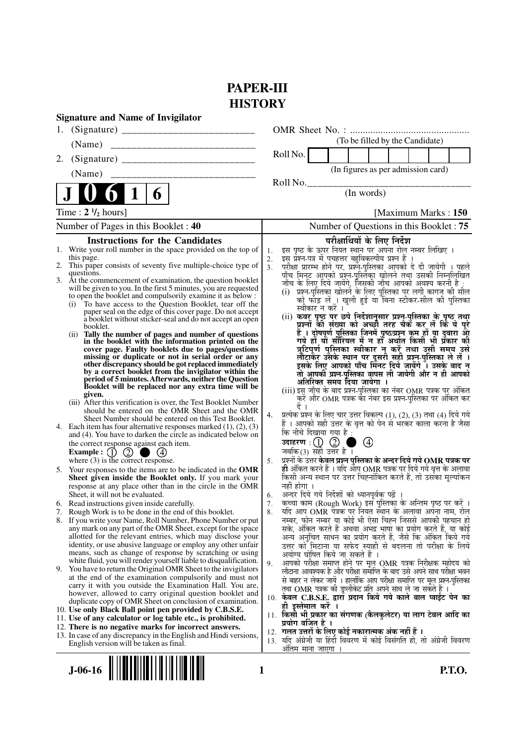# **PAPER-III HISTORY**

| <b>Signature and Name of Invigilator</b>                                                                                              |                                                                                                                                                 |
|---------------------------------------------------------------------------------------------------------------------------------------|-------------------------------------------------------------------------------------------------------------------------------------------------|
|                                                                                                                                       |                                                                                                                                                 |
| (Name)                                                                                                                                | (To be filled by the Candidate)                                                                                                                 |
| 2.                                                                                                                                    | Roll No.                                                                                                                                        |
| (Name)                                                                                                                                | (In figures as per admission card)                                                                                                              |
|                                                                                                                                       | Roll No.                                                                                                                                        |
| $\mathbf 1$<br>6                                                                                                                      | (In words)                                                                                                                                      |
| Time: $2 \frac{1}{2}$ hours]                                                                                                          | [Maximum Marks: 150]                                                                                                                            |
| Number of Pages in this Booklet: 40                                                                                                   | Number of Questions in this Booklet : 75                                                                                                        |
| <b>Instructions for the Candidates</b>                                                                                                | परीक्षार्थियों के लिए निर्देश                                                                                                                   |
| 1. Write your roll number in the space provided on the top of                                                                         | इस पृष्ठ के ऊपर नियत स्थान पर अपना रोल नम्बर लिखिए ।<br>1.                                                                                      |
| this page.<br>2. This paper consists of seventy five multiple-choice type of                                                          | इस प्रश्न-पत्र में पचहत्तर बहुविकल्पीय प्रश्न हैं<br>2.<br>3 <sub>1</sub>                                                                       |
| questions.                                                                                                                            | परीक्षा प्रारम्भ होने पर, प्रश्नॅ-पुस्तिका आपको दे दी ज़ायेगी । पहले<br>पाँच मिनट आपको प्रश्न-पुस्तिका खोलने तथा उसकी निम्नलिखित                |
| 3. At the commencement of examination, the question booklet<br>will be given to you. In the first 5 minutes, you are requested        | जाँच के लिए दिये जायेंगे, जिसकी जाँच आपको अवश्य करनी है :                                                                                       |
| to open the booklet and compulsorily examine it as below :                                                                            | (i)  प्रश्न-पुरितका खोलने के लिए पुस्तिका पर लगी कागज की सील<br>को फाड़ लें । खुली हुई या बिना स्टीकर-सील की पुस्तिका                           |
| To have access to the Question Booklet, tear off the<br>(i)<br>paper seal on the edge of this cover page. Do not accept               | स्वीकार न करें                                                                                                                                  |
| a booklet without sticker-seal and do not accept an open                                                                              | (ii) कवर पृष्ठ पर छपे निर्देशानुसार प्रश्न-पुस्तिका के पृष्ठ तथा<br>प्रश्नों की संख्या को अच्छी तरह चैक कर लें कि वे पूरे                       |
| booklet.<br>(ii) Tally the number of pages and number of questions                                                                    | हैं । दोषपूर्ण पुस्तिका जिनमें पृष्ठ/प्रश्न कम हों या दुबारा आ<br>गये हो या सीरियल में न हो अर्थात किसी भी प्रकार की                            |
| in the booklet with the information printed on the                                                                                    |                                                                                                                                                 |
| cover page. Faulty booklets due to pages/questions<br>missing or duplicate or not in serial order or any                              | त्रूटिपूर्ण पुस्तिका स्वीकार नू करें तथा उसी समय उसे<br>लौटाकेंर उसके स्थान पर दूसरी सही प्रश्नु-पुस्तिका ले लें ।                              |
| other discrepancy should be got replaced immediately<br>by a correct booklet from the invigilator within the                          | इसके लिए आपको पाँच मिनट दिये जायेंगे । उसके बाद न                                                                                               |
| period of 5 minutes. Afterwards, neither the Question                                                                                 | तो आपकी प्रश्न-पुस्तिका वापस ली जायेगी और न ही आपको<br>अतिरिक्त समय दिया जायेगा ।                                                               |
| Booklet will be replaced nor any extra time will be                                                                                   | (iii) इसु जाँच के बाद प्रश्न-पुस्तिका का नंबर OMR पत्रक पर् अंकित                                                                               |
| given.<br>(iii) After this verification is over, the Test Booklet Number                                                              | करें और OMR पत्रक का नंबर इस प्रश्न-पुस्तिका पर अंकित कर<br>दें ।                                                                               |
| should be entered on the OMR Sheet and the OMR                                                                                        | प्रत्येक प्रश्न के लिए चार उत्तर विकल्प (1), (2), (3) तथा (4) दिये गये<br>4.                                                                    |
| Sheet Number should be entered on this Test Booklet.<br>4. Each item has four alternative responses marked $(1)$ , $(2)$ , $(3)$      | हैं । आपको सही उत्तर के वृत्त को पेन से भरकर काला करना है जैसा                                                                                  |
| and (4). You have to darken the circle as indicated below on                                                                          | कि नीचे दिखाया गया है :                                                                                                                         |
| the correct response against each item.<br>Example : $\begin{pmatrix} 1 \\ 2 \end{pmatrix}$<br>(4)                                    | उदाहरण $\pm$ ( $\pm$ ) ( $\odot$ )<br>$\circled{4}$<br>जबकि (3) सही उत्तर है ।                                                                  |
| where (3) is the correct response.                                                                                                    | प्रश्नों के उत्तर <b>केवल प्रश्न पुस्तिका के अन्दर दिये गये OMR पत्रक पर</b><br>5.                                                              |
| 5. Your responses to the items are to be indicated in the OMR                                                                         | ही अंकित करने हैं । यदि आप OMR पत्रक पर दिये गये वृत्त के अलावा<br>किसी अन्य स्थान पर उत्तर चिह्नांकित करते हैं, तो उसका मृल्यांकन              |
| Sheet given inside the Booklet only. If you mark your<br>response at any place other than in the circle in the OMR                    | नहीं होगा ।                                                                                                                                     |
| Sheet, it will not be evaluated.                                                                                                      | अन्दर दिये गये निर्देशों को ध्यानपूर्वक पढ़ें ।<br>6.                                                                                           |
| 6. Read instructions given inside carefully.<br>7. Rough Work is to be done in the end of this booklet.                               | कच्चा काम (Rough Work) इस पुस्तिका के अन्तिम पृष्ठ पर करें ।<br>7.<br>यदि आप OMR पत्रक पर नियत स्थान के अलावा अपना नाम, रोल<br>8.               |
| 8. If you write your Name, Roll Number, Phone Number or put                                                                           | नम्बर, फोन नम्बर या कोई भी ऐसा चिह्न जिससे आपकी पहचान हो                                                                                        |
| any mark on any part of the OMR Sheet, except for the space                                                                           | सके, अंकित करते हैं अथवा अभद्र भाषा का प्रयोग करते हैं, या कोई                                                                                  |
| allotted for the relevant entries, which may disclose your<br>identity, or use abusive language or employ any other unfair            | अन्य अनुचित साधन का प्रयोग करते हैं, जैसे कि अंकित किये गये<br>उत्तर को मिटाना या सफेद स्याही से बदलना तो परीक्षा के लिये                       |
| means, such as change of response by scratching or using                                                                              | अयोग्य घोषित किये जा सकते हैं ।                                                                                                                 |
| white fluid, you will render yourself liable to disqualification.<br>9. You have to return the Original OMR Sheet to the invigilators | आपको परीक्षा समाप्त होने पर मूल OMR पत्रक निरीक्षक महोदय को<br>9.                                                                               |
| at the end of the examination compulsorily and must not                                                                               | लौटाना आवश्यक है और परीक्षा समाप्ति के बाद उसे अपने साथ परीक्षा भवन<br>से बाहर न लेकर जायें । हालांकि आप परीक्षा समाप्ति पर मूल प्रश्न-पुस्तिका |
| carry it with you outside the Examination Hall. You are,<br>however, allowed to carry original question booklet and                   | तथा OMR पत्रक की डुप्लीकेट प्रति अपने साथ ले जा सकते हैं ।                                                                                      |
| duplicate copy of OMR Sheet on conclusion of examination.                                                                             | 10. केवल C.B.S.E. द्वारा प्रदान किये गये काले बाल प्वाईट पेन का<br>ही इस्तेमाल करे ।                                                            |
| 10. Use only Black Ball point pen provided by C.B.S.E.                                                                                | 11. किसी भी प्रकार का संगणक (कैलकुलेटर) या लाग टेबल आदि का                                                                                      |
| 11. Use of any calculator or log table etc., is prohibited.<br>12. There is no negative marks for incorrect answers.                  | प्रयोग वर्जित है ।                                                                                                                              |
| 13. In case of any discrepancy in the English and Hindi versions,                                                                     | 12. गलत उत्तरों के लिए कोई नकारात्मक अंक नहीं हैं ।<br>13. यदि अंग्रेजी या हिंदी विवरण में कोई विसंगति हो, तो अंग्रेजी विवरण                    |
| English version will be taken as final.                                                                                               | अंतिम माना जाएगा                                                                                                                                |
|                                                                                                                                       |                                                                                                                                                 |
| $J-06-16$<br>1                                                                                                                        | <b>P.T.O.</b>                                                                                                                                   |
|                                                                                                                                       |                                                                                                                                                 |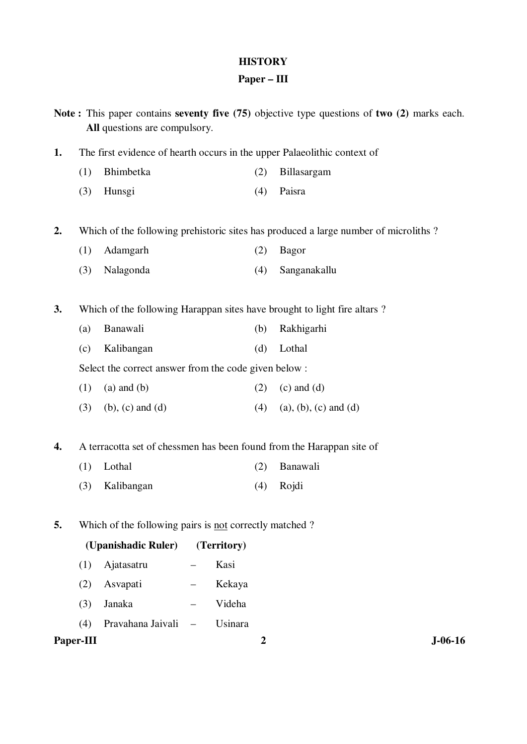# **HISTORY**

# **Paper – III**

|    |           | All questions are compulsory.                          |                   |             |                  | Note: This paper contains seventy five (75) objective type questions of two (2) marks each. |           |
|----|-----------|--------------------------------------------------------|-------------------|-------------|------------------|---------------------------------------------------------------------------------------------|-----------|
| 1. |           |                                                        |                   |             |                  | The first evidence of hearth occurs in the upper Palaeolithic context of                    |           |
|    | (1)       | Bhimbetka                                              |                   |             | (2)              | Billasargam                                                                                 |           |
|    | (3)       | Hunsgi                                                 |                   |             | (4)              | Paisra                                                                                      |           |
| 2. |           |                                                        |                   |             |                  | Which of the following prehistoric sites has produced a large number of microliths?         |           |
|    | (1)       | Adamgarh                                               |                   |             | (2)              | <b>Bagor</b>                                                                                |           |
|    | (3)       | Nalagonda                                              |                   |             | (4)              | Sanganakallu                                                                                |           |
| 3. |           |                                                        |                   |             |                  | Which of the following Harappan sites have brought to light fire altars?                    |           |
|    | (a)       | Banawali                                               |                   |             | (b)              | Rakhigarhi                                                                                  |           |
|    | (c)       | Kalibangan                                             |                   |             | (d)              | Lothal                                                                                      |           |
|    |           | Select the correct answer from the code given below :  |                   |             |                  |                                                                                             |           |
|    | (1)       | $(a)$ and $(b)$                                        |                   |             | (2)              | $(c)$ and $(d)$                                                                             |           |
|    | (3)       | $(b)$ , $(c)$ and $(d)$                                |                   |             | (4)              | $(a), (b), (c)$ and $(d)$                                                                   |           |
| 4. |           |                                                        |                   |             |                  | A terracotta set of chessmen has been found from the Harappan site of                       |           |
|    | (1)       | Lothal                                                 |                   |             | (2)              | Banawali                                                                                    |           |
|    | (3)       | Kalibangan                                             |                   |             | (4)              | Rojdi                                                                                       |           |
| 5. |           | Which of the following pairs is not correctly matched? |                   |             |                  |                                                                                             |           |
|    |           | (Upanishadic Ruler)                                    |                   | (Territory) |                  |                                                                                             |           |
|    | (1)       | Ajatasatru                                             |                   | Kasi        |                  |                                                                                             |           |
|    | (2)       | Asvapati                                               |                   | Kekaya      |                  |                                                                                             |           |
|    | (3)       | Janaka                                                 |                   | Videha      |                  |                                                                                             |           |
|    | (4)       | Pravahana Jaivali                                      | $\qquad \qquad -$ | Usinara     |                  |                                                                                             |           |
|    | Paper-III |                                                        |                   |             | $\boldsymbol{2}$ |                                                                                             | $J-06-16$ |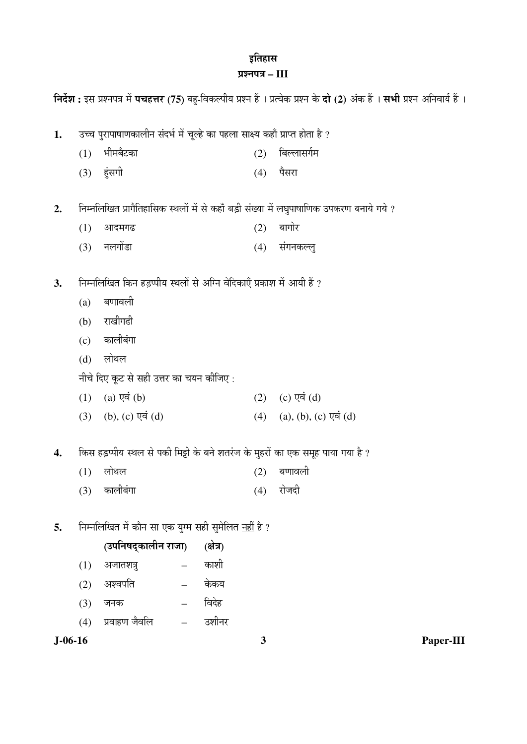# इतिहास $\,$ प्रश्नपत्र – III

|               |     |                                                                              |           |     | निर्देश : इस प्रश्नपत्र में पचहत्तर (75) बहु-विकल्पीय प्रश्न हैं । प्रत्येक प्रश्न के दो (2) अंक हैं । सभी प्रश्न अनिवार्य हैं । |  |
|---------------|-----|------------------------------------------------------------------------------|-----------|-----|----------------------------------------------------------------------------------------------------------------------------------|--|
| 1.            |     | उच्च पुरापाषाणकालीन संदर्भ में चूल्हे का पहला साक्ष्य कहाँ प्राप्त होता है ? |           |     |                                                                                                                                  |  |
|               | (1) | भीमबैटका                                                                     |           | (2) | बिल्लासर्गम                                                                                                                      |  |
|               | (3) | हुंसगी                                                                       |           | (4) | पैसरा                                                                                                                            |  |
| 2.            |     |                                                                              |           |     | निम्नलिखित प्रागैतिहासिक स्थलों में से कहाँ बड़ी संख्या में लघुपाषाणिक उपकरण बनाये गये ?                                         |  |
|               | (1) | आदमगढ                                                                        |           | (2) | बागोर                                                                                                                            |  |
|               | (3) | नलगोंडा                                                                      |           | (4) | संगनकल्लु                                                                                                                        |  |
| 3.            |     | निम्नलिखित किन हड़प्पीय स्थलों से अग्नि वेदिकाएँ प्रकाश में आयी हैं ?        |           |     |                                                                                                                                  |  |
|               | (a) | बणावली                                                                       |           |     |                                                                                                                                  |  |
|               | (b) | राखीगढी                                                                      |           |     |                                                                                                                                  |  |
|               | (c) | कालीबंगा                                                                     |           |     |                                                                                                                                  |  |
|               | (d) | लोथल                                                                         |           |     |                                                                                                                                  |  |
|               |     | नीचे दिए कूट से सही उत्तर का चयन कीजिए :                                     |           |     |                                                                                                                                  |  |
|               | (1) | (a) एवं $(b)$                                                                |           | (2) | (c) एवं $(d)$                                                                                                                    |  |
|               |     | $(3)$ (b), (c) एवं (d)                                                       |           | (4) | $(a), (b), (c)$ एवं $(d)$                                                                                                        |  |
| 4.            |     |                                                                              |           |     | किस हड़प्पीय स्थल से पकी मिट्टी के बने शतरंज के मुहरों का एक समूह पाया गया है ?                                                  |  |
|               | (1) | लोथल                                                                         |           | (2) | बणावली                                                                                                                           |  |
|               | (3) | कालीबंगा                                                                     |           | (4) | रोजदी                                                                                                                            |  |
| 5.            |     | निम्नलिखित में कौन सा एक युग्म सही सुमेलित <u>नहीं</u> है ?                  |           |     |                                                                                                                                  |  |
|               |     | (उपनिषद्कालीन राजा)                                                          | (क्षेत्र) |     |                                                                                                                                  |  |
|               | (1) | अजातशत्रु                                                                    | काशी      |     |                                                                                                                                  |  |
|               | (2) | अश्वपति                                                                      | केकय      |     |                                                                                                                                  |  |
|               | (3) | जनक                                                                          | विदेह     |     |                                                                                                                                  |  |
|               | (4) | प्रवाहण जैवलि                                                                | उशीनर     |     |                                                                                                                                  |  |
| $J - 06 - 16$ |     |                                                                              |           | 3   | Paper-III                                                                                                                        |  |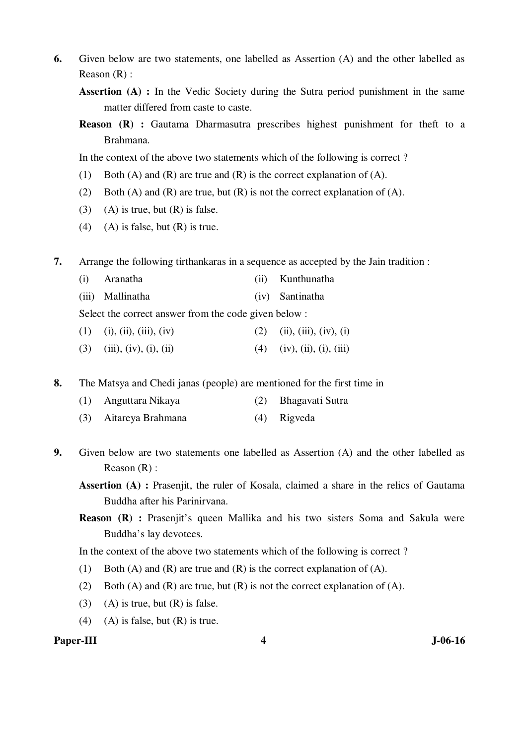- **6.** Given below are two statements, one labelled as Assertion (A) and the other labelled as Reason (R) :
	- **Assertion (A) :** In the Vedic Society during the Sutra period punishment in the same matter differed from caste to caste.
	- **Reason (R) :** Gautama Dharmasutra prescribes highest punishment for theft to a Brahmana.

In the context of the above two statements which of the following is correct ?

- (1) Both (A) and (R) are true and (R) is the correct explanation of (A).
- (2) Both (A) and (R) are true, but (R) is not the correct explanation of (A).
- (3) (A) is true, but  $(R)$  is false.
- (4) (A) is false, but  $(R)$  is true.

**7.** Arrange the following tirthankaras in a sequence as accepted by the Jain tradition :

- (i) Aranatha (ii) Kunthunatha
- (iii) Mallinatha (iv) Santinatha

Select the correct answer from the code given below :

- (1) (i), (ii), (iii), (iv) (2) (ii), (iii), (iv), (i)
- (3) (iii), (iv), (i), (ii) (4) (iv), (ii), (iii)
- **8.** The Matsya and Chedi janas (people) are mentioned for the first time in
	- (1) Anguttara Nikaya (2) Bhagavati Sutra
	- (3) Aitareya Brahmana (4) Rigveda
- **9.** Given below are two statements one labelled as Assertion (A) and the other labelled as Reason (R) :

**Assertion (A) :** Prasenjit, the ruler of Kosala, claimed a share in the relics of Gautama Buddha after his Parinirvana.

**Reason (R) :** Prasenjit's queen Mallika and his two sisters Soma and Sakula were Buddha's lay devotees.

In the context of the above two statements which of the following is correct ?

- (1) Both (A) and (R) are true and (R) is the correct explanation of (A).
- (2) Both (A) and (R) are true, but (R) is not the correct explanation of (A).
- (3) (A) is true, but  $(R)$  is false.
- (4) (A) is false, but  $(R)$  is true.

#### Paper-III **1** J-06-16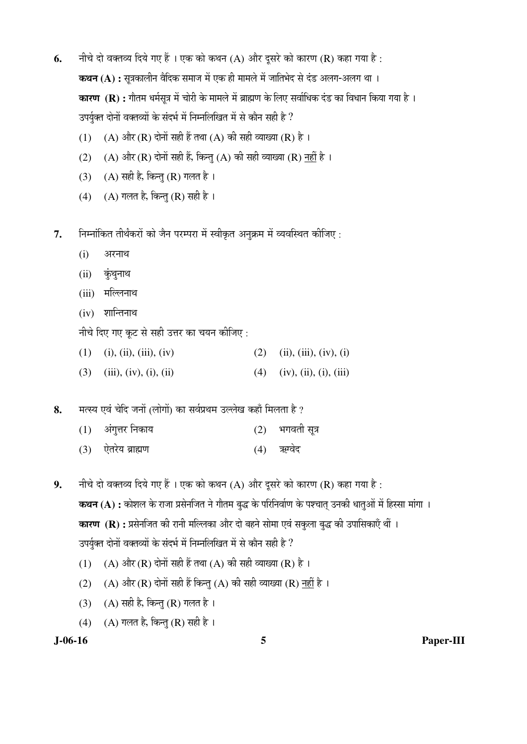- **6.** नीचे दो वक्तव्य दिये गए हैं । एक को कथन (A) और दूसरे को कारण (R) कहा गया है : **कथन (A) :** सुत्रकालीन वैदिक समाज में एक ही मामले में जातिभेद से दंड अलग-अलग था । **कारण (R) :** गौतम धर्मसूत्र में चोरी के मामले में ब्राह्मण के लिए सर्वाधिक दंड का विधान किया गया है । उपर्युक्त दोनों वक्तव्यों के संदर्भ में निम्नलिखित में से कौन सही है ?
	- (1) (A) और (R) दोनों सही हैं तथा (A) की सही व्याख्या (R) है ।
	- (2) (A) और (R) दोनों सही हैं, किन्तु (A) की सही व्याख्या (R) नहीं है ।
	- (3) (A) सही है, किन्तु (R) गलत है।
	- (4) (A) गलत है, किन्तु (R) सही है।
- 7. Fiम्नॉकित तीर्थंकरों को जैन परम्परा में स्वीकृत अनुक्रम में व्यवस्थित कीजिए :
	- $(i)$  अरनाथ
	- $(ii)$  कुंथुनाथ
	- (iii) मल्लिनाथ
	- $(iv)$  शान्तिनाथ

नीचे दिए गए कूट से सही उत्तर का चयन कीजिए :

- (1) (i), (ii), (iii), (iv) (2) (ii), (iii), (iv), (i)
- (3) (iii), (iv), (i), (ii) (4) (iv), (ii), (iii)

8. TRA एवं चेदि जनों (लोगों) का सर्वप्रथम उल्लेख कहाँ मिलता है ?

| $(1)$ अंगुत्तर निकाय | (2) भगवती सूत्र |
|----------------------|-----------------|
| (3) ऐतरेय ब्राह्मण   | (4) ऋग्वेद      |

**9.** नीचे दो वक्तव्य दिये गए हैं । एक को कथन (A) और दूसरे को कारण (R) कहा गया है : **कथन (A) :** कोशल के राजा प्रसेनजित ने गौतम बुद्ध के परिनिर्वाण के पश्चात उनकी धातुओं में हिस्सा मांगा । **कारण (R) :** प्रसेनजित की रानी मल्लिका और दो बहने सोमा एवं सकुला बुद्ध की उपासिकाएँ थीं । उपर्युक्त दोनों वक्तव्यों के संदर्भ में निम्नलिखित में से कौन सही है ?

- (1) (A) और (R) दोनों सही हैं तथा (A) की सही व्याख्या (R) है ।
- (2) (A) और (R) दोनों सही हैं किन्तु (A) की सही व्याख्या (R) नहीं है ।
- (3) (A) सही है, किन्तु (R) गलत है।
- (4) (A) गलत है, किन्तु (R) सही है ।

**J-06-16 5 Paper-III**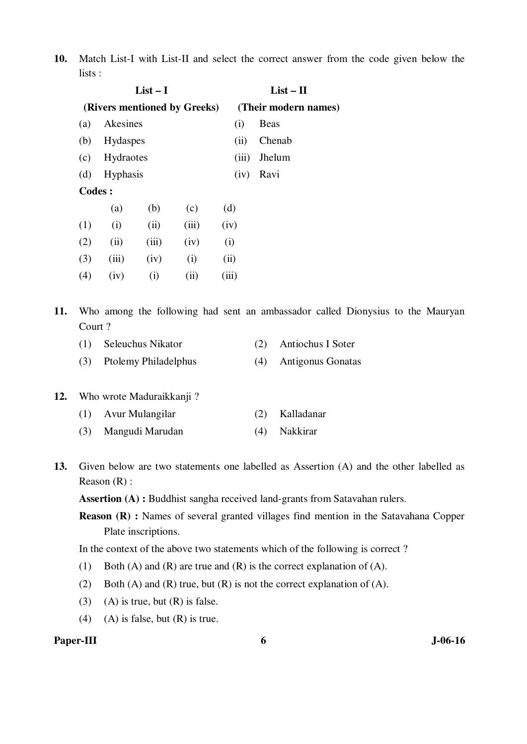**10.** Match List-I with List-II and select the correct answer from the code given below the lists :

|               |           | $List-I$ |                              |       | $List - II$          |             |  |
|---------------|-----------|----------|------------------------------|-------|----------------------|-------------|--|
|               |           |          | (Rivers mentioned by Greeks) |       | (Their modern names) |             |  |
| (a)           | Akesines  |          |                              |       | (i)                  | <b>Beas</b> |  |
| (b)           | Hydaspes  |          |                              |       | (ii)                 | Chenab      |  |
| (c)           | Hydraotes |          |                              |       | (iii)                | Jhelum      |  |
| (d)           | Hyphasis  |          |                              |       | (iv)                 | Ravi        |  |
| <b>Codes:</b> |           |          |                              |       |                      |             |  |
|               | (a)       | (b)      | (c)                          | (d)   |                      |             |  |
| (1)           | (i)       | (ii)     | (iii)                        | (iv)  |                      |             |  |
| (2)           | (ii)      | (iii)    | (iv)                         | (i)   |                      |             |  |
| (3)           | (iii)     | (iv)     | (i)                          | (ii)  |                      |             |  |
| (4)           | (iv)      | (i)      | (ii)                         | (iii) |                      |             |  |
|               |           |          |                              |       |                      |             |  |

- **11.** Who among the following had sent an ambassador called Dionysius to the Mauryan Court ?
	- (1) Seleuchus Nikator (2) Antiochus I Soter
	- (3) Ptolemy Philadelphus (4) Antigonus Gonatas

### **12.** Who wrote Maduraikkanji ?

| (1) Avur Mulangilar |  | (2) Kalladanar |
|---------------------|--|----------------|
|---------------------|--|----------------|

- (3) Mangudi Marudan (4) Nakkirar
- **13.** Given below are two statements one labelled as Assertion (A) and the other labelled as Reason (R) :

**Assertion (A) :** Buddhist sangha received land-grants from Satavahan rulers.

**Reason (R) :** Names of several granted villages find mention in the Satavahana Copper Plate inscriptions.

In the context of the above two statements which of the following is correct ?

- (1) Both (A) and (R) are true and (R) is the correct explanation of (A).
- (2) Both (A) and (R) true, but (R) is not the correct explanation of (A).
- (3) (A) is true, but  $(R)$  is false.
- $(4)$  (A) is false, but  $(R)$  is true.

# Paper-III 6 J-06-16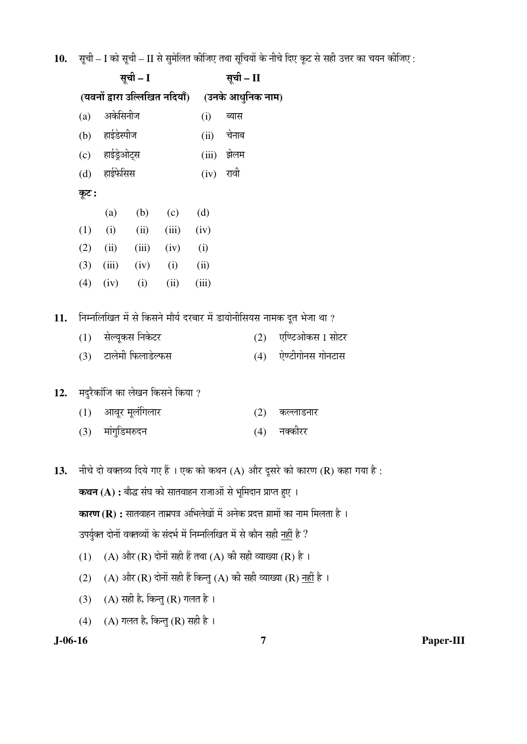$10.$  सूची – I को सूची – II से सुमेलित कीजिए तथा सूचियों के नीचे दिए कूट से सही उत्तर का चयन कीजिए :

|     |       |                  | सूची – I          |                                                                       |       | सूची – II |     |                                                                                         |
|-----|-------|------------------|-------------------|-----------------------------------------------------------------------|-------|-----------|-----|-----------------------------------------------------------------------------------------|
|     |       |                  |                   | (यवनों द्वारा उल्लिखित नदियाँ) (उनके आधुनिक नाम)                      |       |           |     |                                                                                         |
|     | (a)   | अकेसिनीज         |                   |                                                                       | (i)   | ब्यास     |     |                                                                                         |
|     |       | (b) हाईडेस्पीज   |                   |                                                                       | (ii)  | चेनाब     |     |                                                                                         |
|     |       | (c) हाईड्रेओट्स  |                   |                                                                       | (iii) | झेलम      |     |                                                                                         |
|     | (d)   | हाईफेसिस         |                   |                                                                       | (iv)  | रावी      |     |                                                                                         |
|     | कूट : |                  |                   |                                                                       |       |           |     |                                                                                         |
|     |       | (a)              | (b)               | (c)                                                                   | (d)   |           |     |                                                                                         |
|     | (1)   | (i)              | (ii)              | (iii)                                                                 | (iv)  |           |     |                                                                                         |
|     | (2)   | (ii)             | (iii)             | (iv)                                                                  | (i)   |           |     |                                                                                         |
|     | (3)   | (iii)            | (iv)              | (i)                                                                   | (ii)  |           |     |                                                                                         |
|     | (4)   | (iv)             | (i)               | (ii)                                                                  | (iii) |           |     |                                                                                         |
| 11. |       |                  |                   |                                                                       |       |           |     | निम्नलिखित में से किसने मौर्य दरबार में डायोनीसियस नामक दूत भेजा था ?                   |
|     | (1)   |                  | सेल्यूकस निकेटर   |                                                                       |       |           | (2) | एण्टिओकस I सोटर                                                                         |
|     | (3)   |                  | टालेमी फिलाडेल्फस |                                                                       |       |           | (4) | ऐण्टीगोनस गोनटास                                                                        |
| 12. |       |                  |                   | मदुरैकांजि का लेखन किसने किया ?                                       |       |           |     |                                                                                         |
|     | (1)   |                  | आवूर मूलंगिलार    |                                                                       |       |           | (2) | कल्लाडनार                                                                               |
|     |       | (3) मांगुडिमरुदन |                   |                                                                       |       |           | (4) | नक्कीरर                                                                                 |
|     |       |                  |                   |                                                                       |       |           |     |                                                                                         |
| 13. |       |                  |                   |                                                                       |       |           |     | नीचे दो वक्तव्य दिये गए हैं । एक को कथन (A) और दूसरे को कारण (R) कहा गया है :           |
|     |       |                  |                   | <b>कथन (A) :</b> बौद्ध संघ को सातवाहन राजाओं से भूमिदान प्राप्त हुए । |       |           |     |                                                                                         |
|     |       |                  |                   |                                                                       |       |           |     | <b>कारण (R) :</b> सातवाहन ताम्रपत्र अभिलेखों में अनेक प्रदत्त ग्रामों का नाम मिलता है । |
|     |       |                  |                   |                                                                       |       |           |     | उपर्युक्त दोनों वक्तव्यों के संदर्भ में निम्नलिखित में से कौन सही <u>नहीं</u> है ?      |
|     | (1)   |                  |                   |                                                                       |       |           |     | (A) और (R) दोनों सही हैं तथा (A) की सही व्याख्या (R) है ।                               |
|     | (2)   |                  |                   |                                                                       |       |           |     | (A) और (R) दोनों सही हैं किन्तु (A) की सही व्याख्या (R) <u>नहीं</u> है ।                |
|     | (3)   |                  |                   | (A) सही है, किन्तु (R) गलत है ।                                       |       |           |     |                                                                                         |
|     | (4)   |                  |                   | $(A)$ गलत है, किन्तु (R) सही है ।                                     |       |           |     |                                                                                         |

**J-06-16 7 Paper-III**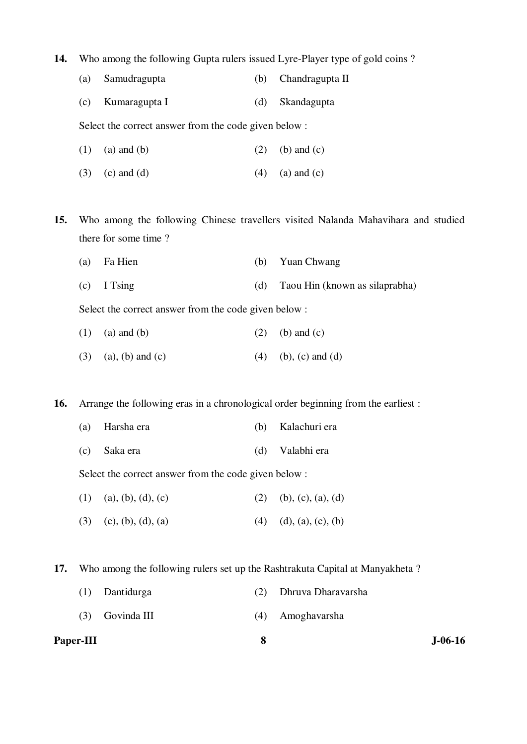**14.** Who among the following Gupta rulers issued Lyre-Player type of gold coins ?

|  | (a) Samudragupta |  | (b) Chandragupta II |
|--|------------------|--|---------------------|
|--|------------------|--|---------------------|

(c) Kumaragupta I (d) Skandagupta

Select the correct answer from the code given below :

- (1) (a) and (b) (2) (b) and (c)
- (3) (c) and (d)  $(4)$  (a) and (c)
- **15.** Who among the following Chinese travellers visited Nalanda Mahavihara and studied there for some time ?
	- (a) Fa Hien (b) Yuan Chwang
	- (c) I Tsing (d) Taou Hin (known as silaprabha)

Select the correct answer from the code given below :

- (1) (a) and (b) (2) (b) and (c)
- (3) (a), (b) and (c) (4) (b), (c) and (d)

**16.** Arrange the following eras in a chronological order beginning from the earliest :

- (a) Harsha era (b) Kalachuri era
- (c) Saka era (d) Valabhi era

Select the correct answer from the code given below :

- (1) (a), (b), (d), (c) (2) (b), (c), (a), (d)
- (3) (c), (b), (d), (a) (4) (d), (a), (c), (b)

**17.** Who among the following rulers set up the Rashtrakuta Capital at Manyakheta ?

- (1) Dantidurga (2) Dhruva Dharavarsha
- (3) Govinda III (4) Amoghavarsha

| <b>Paper-III</b> | $J-06-16$ |
|------------------|-----------|
|                  |           |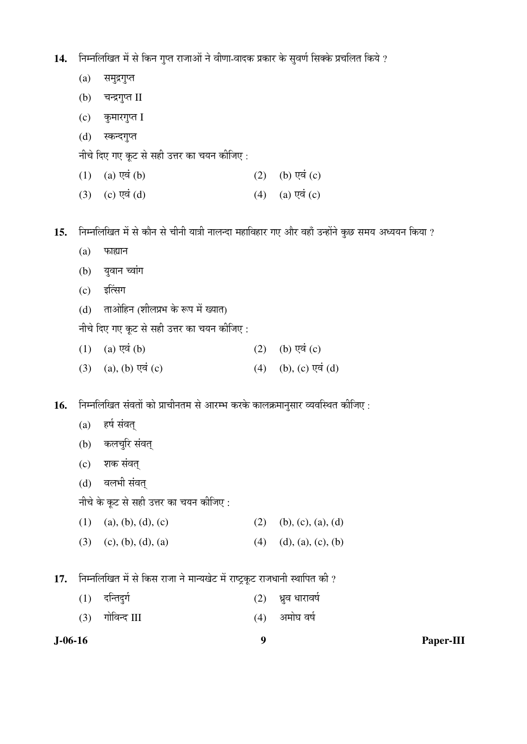14. निम्नलिखित में से किन गुप्त राजाओं ने वीणा-वादक प्रकार के सुवर्ण सिक्के प्रचलित किये ?

- (a) समुद्रगुप्त
- (b) चन्द्रगुप्त II
- $(c)$  कुमारगुप्त I
- (d) स्कन्दगुप्त

नीचे दिए गए कूट से सही उत्तर का चयन कीजिए :

- $(1)$   $(a)$   $\nabla \dot{a}$   $(b)$   $(2)$   $(b)$   $\nabla \dot{a}$   $(c)$
- (3) (c)  $\nabla \vec{q}$  (d)  $(4)$  (a)  $\nabla \vec{q}$  (c)

15. निम्नलिखित में से कौन से चीनी यात्री नालन्दा महाविहार गए और वहाँ उन्होंने कुछ समय अध्ययन किया ?

- $(a)$  फाह्यान
- (b) युवान च्वांग
- $(c)$  इत्सिंग
- $(d)$  ताओहिन (शीलप्रभ के रूप में ख्यात)

नीचे दिए गए कूट से सही उत्तर का चयन कीजिए :

- (1) (a)  $\nabla \vec{q}$  (b)  $(\vec{b})$  (c)  $(\vec{b})$   $\nabla \vec{q}$  (c)
- (3) (a), (b)  $\nabla \vec{a}$  (c) (4) (b), (c)  $\nabla \vec{a}$  (d)

16. निम्नलिखित संवतों को प्राचीनतम से आरम्भ करके कालक्रमानुसार व्यवस्थित कीजिए :

- (a) हर्ष संवत्
- (b) कलचुरि संवत्
- (c) शक संवत्
- (d) वलभी संवत्

नीचे के कूट से सही उत्तर का चयन कीजिए :

- (1) (a), (b), (d), (c) (2) (b), (c), (a), (d)
- (3) (c), (b), (d), (a) (4) (d), (a), (c), (b)

17. निम्नलिखित में से किस राजा ने मान्यखेट में राष्ट्रकूट राजधानी स्थापित की ?

- $(1)$  दन्तिदुर्ग  $(2)$  भ्रुव धारावर्ष
- $(3)$  गोविन्द III and  $(4)$  अमोघ वर्ष

**J-06-16 9 Paper-III**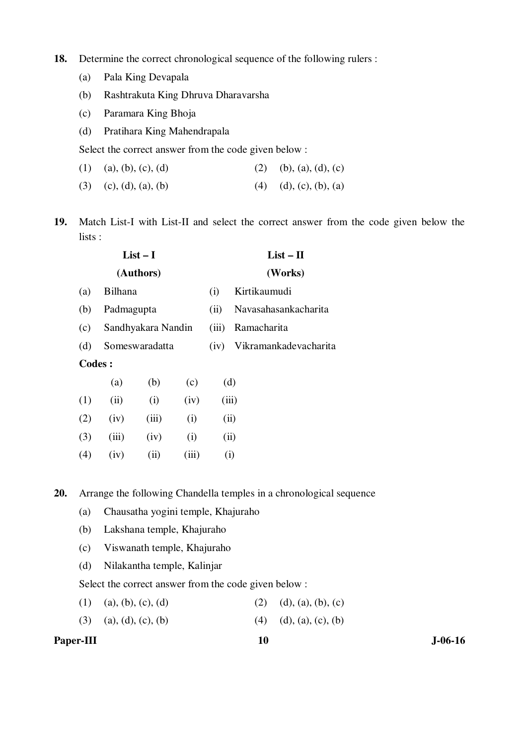- **18.** Determine the correct chronological sequence of the following rulers :
	- (a) Pala King Devapala
	- (b) Rashtrakuta King Dhruva Dharavarsha
	- (c) Paramara King Bhoja
	- (d) Pratihara King Mahendrapala

Select the correct answer from the code given below :

- (1) (a), (b), (c), (d) (2) (b), (a), (d), (c)
- (3) (c), (d), (a), (b) (4) (d), (c), (b), (a)
- **19.** Match List-I with List-II and select the correct answer from the code given below the lists :

|               |                | $List-I$           |       |       | $List - II$           |
|---------------|----------------|--------------------|-------|-------|-----------------------|
|               |                | (Authors)          |       |       | (Works)               |
| (a)           | <b>Bilhana</b> |                    |       | (i)   | Kirtikaumudi          |
| (b)           | Padmagupta     |                    |       | (ii)  | Navasahasankacharita  |
| (c)           |                | Sandhyakara Nandin |       | (iii) | Ramacharita           |
| (d)           |                | Someswaradatta     |       |       | Vikramankadevacharita |
| <b>Codes:</b> |                |                    |       |       |                       |
|               | (a)            | (b)                | (c)   |       | (d)                   |
| (1)           | (ii)           | (i)                | (iv)  |       | (iii)                 |
| (2)           | (iv)           | (iii)              | (i)   |       | (ii)                  |
| (3)           | (iii)          | (iv)               | (i)   |       | (ii)                  |
| (4)           | (iv)           | (ii)               | (iii) |       | (i)                   |

**20.** Arrange the following Chandella temples in a chronological sequence

- (a) Chausatha yogini temple, Khajuraho
- (b) Lakshana temple, Khajuraho
- (c) Viswanath temple, Khajuraho
- (d) Nilakantha temple, Kalinjar

Select the correct answer from the code given below :

- (1) (a), (b), (c), (d) (2) (d), (a), (b), (c)
- (3) (a), (d), (c), (b) (4) (d), (a), (c), (b)

Paper-III **10** J-06-16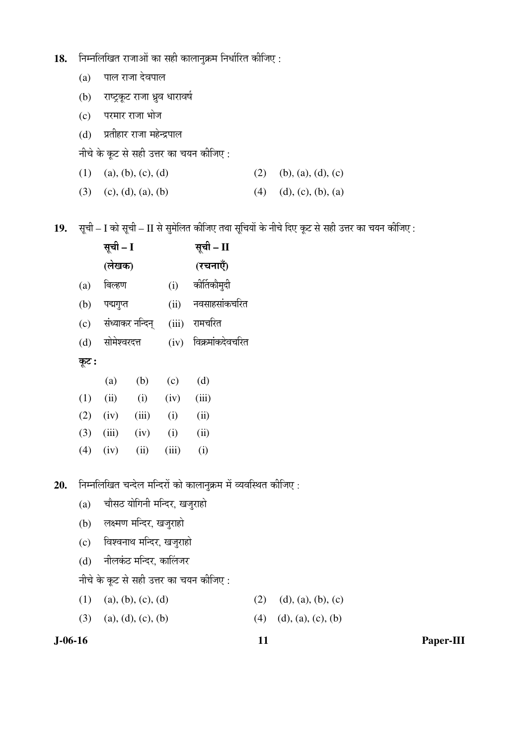- 18. Fiम्नलिखित राजाओं का सही कालानुक्रम निर्धारित कीजिए:
	- $(a)$  पाल राजा देवपाल
	- (b) राष्ट्रकूट राजा ध्रुव धारावर्ष
	- $(c)$  परमार राजा भोज
	- (d) प्रतीहार राजा महेन्द्रपाल

नीचे के कूट से सही उत्तर का चयन कीजिए :

| $(1)$ (a), (b), (c), (d) | $(2)$ (b), (a), (d), (c)   |
|--------------------------|----------------------------|
| $(3)$ (c), (d), (a), (b) | $(4)$ $(d), (c), (b), (a)$ |

19. सूची – I को सूची – II से सुमेलित कीजिए तथा सूचियों के नीचे दिए कूट से सही उत्तर का चयन कीजिए :

|        |       |                                                                     | सूची – II        |
|--------|-------|---------------------------------------------------------------------|------------------|
|        |       |                                                                     | (रचनाएँ)         |
| बिल्हण |       | (i)                                                                 | कीर्तिकौमुदी     |
|        |       | (ii)                                                                | नवसाहसांकचरित    |
|        |       | (iii)                                                               | रामचरित          |
|        |       | (iv)                                                                | विक्रमांकदेवचरित |
|        |       |                                                                     |                  |
| (a)    | (b)   | (c)                                                                 | (d)              |
| (ii)   | (i)   | (iv)                                                                | (iii)            |
| (iv)   | (iii) | (i)                                                                 | (ii)             |
| (iii)  | (iv)  | (i)                                                                 | (ii)             |
| (iv)   | (ii)  | (iii)                                                               | (i)              |
|        |       |                                                                     |                  |
|        |       | सूची – I<br>(लेखक)<br>पद्मगुप्त<br>संध्याकर नन्दिन्<br>सोमेश्वरदत्त |                  |

20. **निम्नलिखित चन्देल मन्दिरों को कालानुक्रम** में व्यवस्थित कीजिए:

- $(a)$  चौसठ योगिनी मन्दिर, खजुराहो
- (b) लक्ष्मण मन्दिर, खजुराहो
- (c) विश्वनाथ मन्दिर, खजुराहो
- (d) नीलकंठ मन्दिर, कालिंजर

नीचे के कूट से सही उत्तर का चयन कीजिए :

(1) (a), (b), (c), (d) (2) (d), (a), (b), (c)

(3) (a), (d), (c), (b) (4) (d), (a), (c), (b)

**J-06-16 11 Paper-III**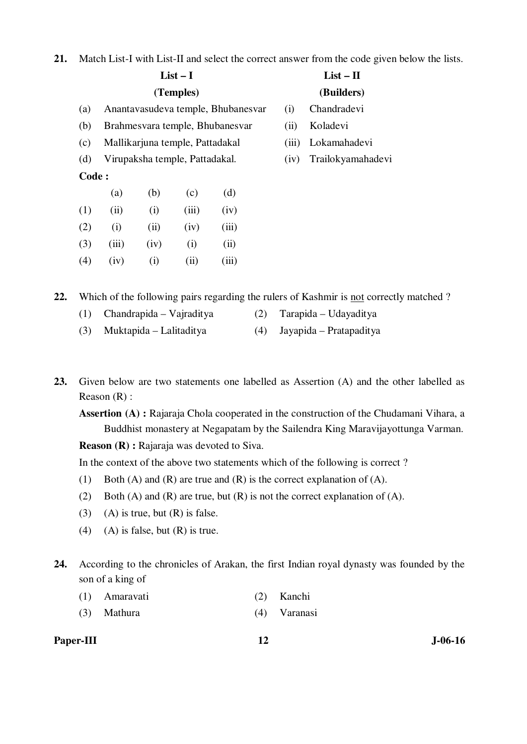**21.** Match List-I with List-II and select the correct answer from the code given below the lists.

|       |       | $List-I$ |                                 | $List - II$                        |       |                   |
|-------|-------|----------|---------------------------------|------------------------------------|-------|-------------------|
|       |       |          | (Temples)                       |                                    |       | (Builders)        |
| (a)   |       |          |                                 | Anantavasudeva temple, Bhubanesvar | (i)   | Chandradevi       |
| (b)   |       |          |                                 | Brahmesvara temple, Bhubanesvar    | (ii)  | Koladevi          |
| (c)   |       |          | Mallikarjuna temple, Pattadakal |                                    | (iii) | Lokamahadevi      |
| (d)   |       |          | Virupaksha temple, Pattadakal.  |                                    | (iv)  | Trailokyamahadevi |
| Code: |       |          |                                 |                                    |       |                   |
|       | (a)   | (b)      | (c)                             | (d)                                |       |                   |
| (1)   | (ii)  | (i)      | (iii)                           | (iv)                               |       |                   |
| (2)   | (i)   | (ii)     | (iv)                            | (iii)                              |       |                   |
| (3)   | (iii) | (iv)     | (i)                             | (ii)                               |       |                   |
| (4)   | (iv)  | (i)      | (ii)                            | (iii)                              |       |                   |
|       |       |          |                                 |                                    |       |                   |

**22.** Which of the following pairs regarding the rulers of Kashmir is not correctly matched ?

- (1) Chandrapida Vajraditya (2) Tarapida Udayaditya
- (3) Muktapida Lalitaditya (4) Jayapida Pratapaditya
- **23.** Given below are two statements one labelled as Assertion (A) and the other labelled as Reason (R) :

**Assertion (A) :** Rajaraja Chola cooperated in the construction of the Chudamani Vihara, a Buddhist monastery at Negapatam by the Sailendra King Maravijayottunga Varman.

**Reason (R) :** Rajaraja was devoted to Siva.

In the context of the above two statements which of the following is correct ?

- (1) Both (A) and (R) are true and (R) is the correct explanation of (A).
- (2) Both (A) and (R) are true, but (R) is not the correct explanation of (A).
- (3) (A) is true, but  $(R)$  is false.
- (4) (A) is false, but  $(R)$  is true.
- **24.** According to the chronicles of Arakan, the first Indian royal dynasty was founded by the son of a king of
	- (1) Amaravati (2) Kanchi
	- (3) Mathura (4) Varanasi

Paper-III **12** J-06-16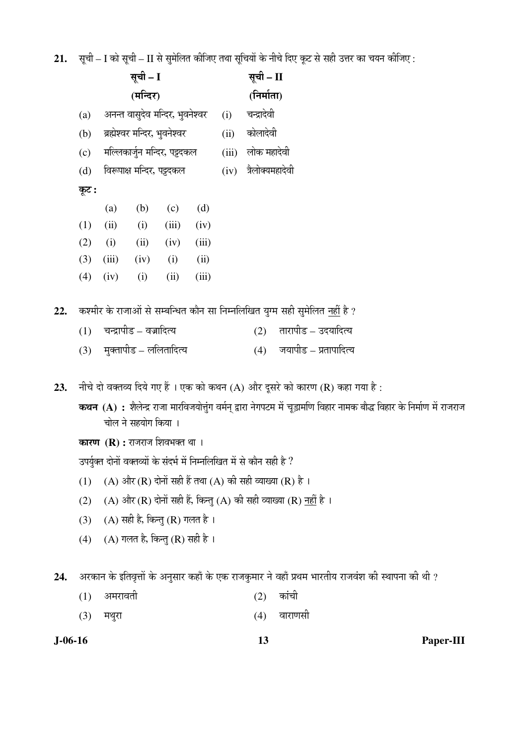$21.$   $\,$  सूची – I को सूची – II से सुमेलित कीजिए तथा सूचियों के नीचे दिए कूट से सही उत्तर का चयन कीजिए :

|     |          |         |                                 |       |       |       | <b>The set of a contribution of the solution of the set of the second contribution of the set of the set of the set of the set of the set of the set of the set of the set of the set of the set of the set of the set of the s</b> |
|-----|----------|---------|---------------------------------|-------|-------|-------|-------------------------------------------------------------------------------------------------------------------------------------------------------------------------------------------------------------------------------------|
|     | सूची – I |         |                                 |       |       |       | सूची – II                                                                                                                                                                                                                           |
|     |          |         | (मन्दिर)                        |       |       |       | (निर्माता)                                                                                                                                                                                                                          |
|     | (a)      |         | अनन्त वासुदेव मन्दिर, भुवनेश्वर |       |       | (i)   | चन्द्रादेवी                                                                                                                                                                                                                         |
|     | (b)      |         | ब्रह्मेश्वर मन्दिर, भुवनेश्वर   |       |       | (ii)  | कोलादेवी                                                                                                                                                                                                                            |
|     | (c)      |         | मल्लिकार्जुन मन्दिर, पट्टदकल    |       |       | (iii) | लोक महादेवी                                                                                                                                                                                                                         |
|     | (d)      |         | विरूपाक्ष मन्दिर, पट्टदकल       |       |       | (iv)  | त्रैलोक्यमहादेवी                                                                                                                                                                                                                    |
|     | कूट :    |         |                                 |       |       |       |                                                                                                                                                                                                                                     |
|     |          | (a)     | (b)                             | (c)   | (d)   |       |                                                                                                                                                                                                                                     |
|     | (1)      | (ii)    | (i)                             | (iii) | (iv)  |       |                                                                                                                                                                                                                                     |
|     | (2)      | (i)     | (ii)                            | (iv)  | (iii) |       |                                                                                                                                                                                                                                     |
|     | (3)      | (iii)   | (iv)                            | (i)   | (ii)  |       |                                                                                                                                                                                                                                     |
|     | (4)      | (iv)    | (i)                             | (ii)  | (iii) |       |                                                                                                                                                                                                                                     |
|     |          |         |                                 |       |       |       |                                                                                                                                                                                                                                     |
| 22. |          |         |                                 |       |       |       | कश्मीर के राजाओं से सम्बन्धित कौन सा निम्नलिखित युग्म सही सुमेलित <u>नहीं</u> है ?                                                                                                                                                  |
|     | (1)      |         | चन्द्रापीड – वज्रादित्य         |       |       |       | तारापीड – उदयादित्य<br>(2)                                                                                                                                                                                                          |
|     | (3)      |         | मुक्तापीड – ललितादित्य          |       |       |       | जयापीड – प्रतापादित्य<br>(4)                                                                                                                                                                                                        |
|     |          |         |                                 |       |       |       |                                                                                                                                                                                                                                     |
| 23. |          |         |                                 |       |       |       | नीचे दो वक्तव्य दिये गए हैं । एक को कथन (A) और दूसरे को कारण (R) कहा गया है :                                                                                                                                                       |
|     |          |         |                                 |       |       |       | कथन (A) : शैलेन्द्र राजा मारविजयोत्तुंग वर्मन् द्वारा नेगपटम में चूड़ामणि विहार नामक बौद्ध विहार के निर्माण में राजराज                                                                                                              |
|     |          |         | चोल ने सहयोग किया ।             |       |       |       |                                                                                                                                                                                                                                     |
|     |          |         | कारण (R): राजराज शिवभक्त था।    |       |       |       |                                                                                                                                                                                                                                     |
|     |          |         |                                 |       |       |       | उपर्युक्त दोनों वक्तव्यों के संदर्भ में निम्नलिखित में से कौन सही है ?                                                                                                                                                              |
|     | (1)      |         |                                 |       |       |       | (A) और (R) दोनों सही हैं तथा (A) की सही व्याख्या (R) है ।                                                                                                                                                                           |
|     | (2)      |         |                                 |       |       |       | (A) और (R) दोनों सही हैं, किन्तु (A) की सही व्याख्या (R) <u>नहीं</u> है ।                                                                                                                                                           |
|     | (3)      |         | (A) सही है, किन्तु (R) गलत है । |       |       |       |                                                                                                                                                                                                                                     |
|     | (4)      |         | (A) गलत है, किन्तु (R) सही है । |       |       |       |                                                                                                                                                                                                                                     |
|     |          |         |                                 |       |       |       |                                                                                                                                                                                                                                     |
| 24. |          |         |                                 |       |       |       | : अरकान के इतिवृत्तों के अनुसार कहाँ के एक राजकुमार ने वहाँ प्रथम भारतीय राजवंश की स्थापना की थी                                                                                                                                    |
|     | (1)      | अमरावती |                                 |       |       |       | कांची<br>(2)                                                                                                                                                                                                                        |
|     |          |         |                                 |       |       |       |                                                                                                                                                                                                                                     |

 $(3)$  मथुरा  $(4)$  वाराणसी

**J-06-16 13 Paper-III**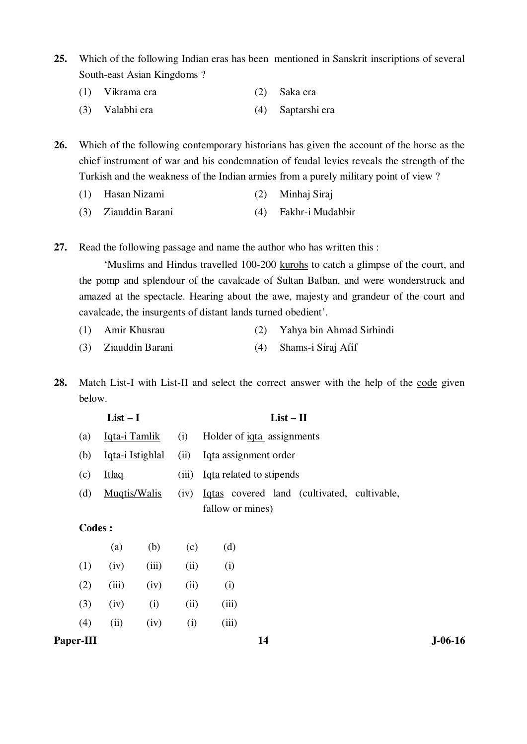- **25.** Which of the following Indian eras has been mentioned in Sanskrit inscriptions of several South-east Asian Kingdoms ?
	- (1) Vikrama era (2) Saka era
	- (3) Valabhi era (4) Saptarshi era

**26.** Which of the following contemporary historians has given the account of the horse as the chief instrument of war and his condemnation of feudal levies reveals the strength of the Turkish and the weakness of the Indian armies from a purely military point of view ?

- (1) Hasan Nizami (2) Minhaj Siraj
- (3) Ziauddin Barani (4) Fakhr-i Mudabbir
- **27.** Read the following passage and name the author who has written this :

 'Muslims and Hindus travelled 100-200 kurohs to catch a glimpse of the court, and the pomp and splendour of the cavalcade of Sultan Balban, and were wonderstruck and amazed at the spectacle. Hearing about the awe, majesty and grandeur of the court and cavalcade, the insurgents of distant lands turned obedient'.

- (1) Amir Khusrau (2) Yahya bin Ahmad Sirhindi
- (3) Ziauddin Barani (4) Shams-i Siraj Afif
- **28.** Match List-I with List-II and select the correct answer with the help of the code given below.

|               | $List-I$             |       |       | $List - II$                                 |  |  |
|---------------|----------------------|-------|-------|---------------------------------------------|--|--|
| (a)           | Iqta-i Tamlik<br>(i) |       |       | Holder of igta assignments                  |  |  |
| (b)           | Iqta-i Istighlal     |       | (ii)  | Iqta assignment order                       |  |  |
| (c)           | <b>Itlaq</b>         |       | (iii) | Igta related to stipends                    |  |  |
| (d)           | Muqtis/Walis         |       | (iv)  | Iqtas covered land (cultivated, cultivable, |  |  |
|               |                      |       |       | fallow or mines)                            |  |  |
| <b>Codes:</b> |                      |       |       |                                             |  |  |
|               | (a)                  | (b)   | (c)   | (d)                                         |  |  |
| (1)           | (iv)                 | (iii) | (ii)  | (i)                                         |  |  |
| (2)           | (iii)                | (iv)  | (ii)  | (i)                                         |  |  |
| (3)           | (iv)                 | (i)   | (ii)  | (iii)                                       |  |  |
| (4)           | (ii)                 | (iv)  | (i)   | (iii)                                       |  |  |

#### Paper-III **14** J-06-16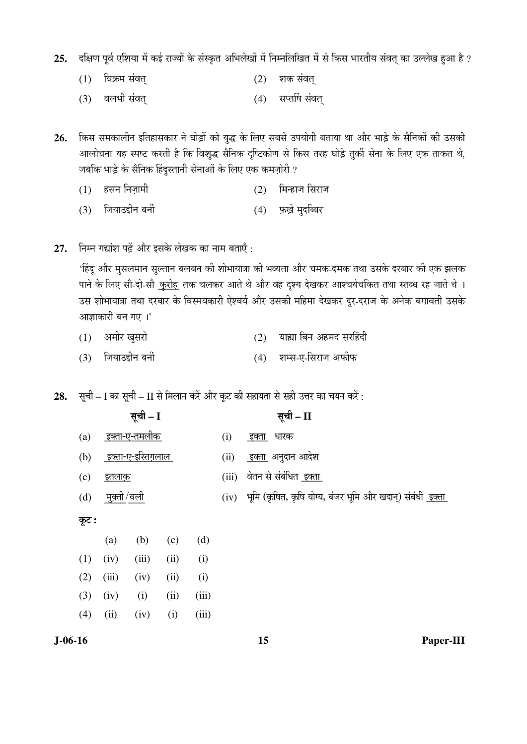25. दक्षिण पूर्व एशिया में कई राज्यों के संस्कृत अभिलेखों में निम्नलिखित में से किस भारतीय संवत् का उल्लेख हुआ है ?

- (1) ×¾ÖÛÎú´Ö ÃÖÓ¾ÖŸÖËü (2) ¿ÖÛú ÃÖÓ¾ÖŸÖË
- (3) वलभी संवत् (4) सप्तर्षि संवत्

26. किस समकालीन इतिहासकार ने घोड़ों को युद्ध के लिए सबसे उपयोगी बताया था और भाड़े के सैनिकों की उसकी आलोचना यह स्पष्ट करती है कि विशुद्ध सैनिक दृष्टिकोण से किस तरह घोड़े तुर्की सेना के लिए एक ताकत थे, जबकि भाड़े के सैनिक हिंदुस्तानी सेनाओं के लिए एक कमज़ोरी ?

- $(1)$  हसन निज़ामी  $(2)$  मिन्हाज सिराज
- $(3)$  जियाउद्दीन बर्नी  $(4)$  फ़ख्ने मदब्बिर
- 27. FHH TERRY THE SHE ERRY END FOR THE THE

'हिंदू और मुसलमान सुल्तान बलबन की शोभायात्रा की भव्यता और चमक-दमक तथा उसके दरबार की एक झलक पाने के लिए सौ-दो-सौ <u>कुरोह</u> तक चलकर आते थे और वह दृश्य देखकर आश्चर्यचकित तथा स्तब्ध रह जाते थे । उस शोभायात्रा तथा दरबार के विस्मयकारी ऐश्वर्य और उसकी महिमा देखकर दूर-दराज के अनेक बगावती उसके आज्ञाकारी बन गए ।'

| अमीर खुसरो |  | याह्या बिन अहमद सरहिंदी |
|------------|--|-------------------------|
|            |  |                         |

 $(3)$  जियाउद्दीन बर्नी (4) शम्स-ए-सिराज अफीफ

**28.** सूची – I का सूची – II से मिलान करें और कूट की सहायता से सही उत्तर का चयन करें :

| सूची - I                           |              |       |      |       |       | सूची – II                                                        |
|------------------------------------|--------------|-------|------|-------|-------|------------------------------------------------------------------|
| <u>इक्ता-ए-तमलीक</u><br>(a)        |              |       |      |       | (i)   | धारक<br><u>इक्ता</u>                                             |
| <u>_इक्ता-ए-इस्तिग़लाल_</u><br>(b) |              |       |      |       | (ii)  | <u>इक्ता</u> अनुदान आदेश                                         |
| (c)<br><u>इतलाक</u>                |              |       |      |       | (iii) | वेतन से संबंधित <u>इक्ता</u>                                     |
| (d)                                | मुक़्ती /वली |       |      |       | (iv)  | भूमि (कृषित, कृषि योग्य, बंजर भूमि और खदान्) संबंधी <u>इक्ता</u> |
| कूट :                              |              |       |      |       |       |                                                                  |
|                                    | (a)          | (b)   | (c)  | (d)   |       |                                                                  |
| (1)                                | (iv)         | (iii) | (ii) | (i)   |       |                                                                  |
| (2)                                | (iii)        | (iv)  | (ii) | (i)   |       |                                                                  |
| (3)                                | (iv)         | (i)   | (ii) | (iii) |       |                                                                  |
| (4)                                | (ii)         | (iv)  | (i)  | (iii) |       |                                                                  |

**J-06-16 15 Paper-III**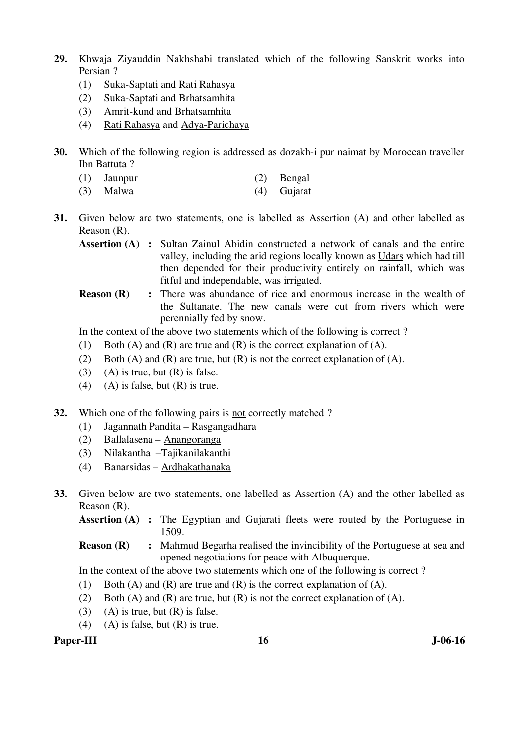- **29.** Khwaja Ziyauddin Nakhshabi translated which of the following Sanskrit works into Persian ?
	- (1) Suka-Saptati and Rati Rahasya
	- (2) Suka-Saptati and Brhatsamhita
	- (3) Amrit-kund and Brhatsamhita
	- (4) Rati Rahasya and Adya-Parichaya
- **30.** Which of the following region is addressed as dozakh-i pur naimat by Moroccan traveller Ibn Battuta ?
	- (1) Jaunpur (2) Bengal
	- (3) Malwa (4) Gujarat
- **31.** Given below are two statements, one is labelled as Assertion (A) and other labelled as Reason (R).

**Assertion (A) :** Sultan Zainul Abidin constructed a network of canals and the entire valley, including the arid regions locally known as Udars which had till then depended for their productivity entirely on rainfall, which was fitful and independable, was irrigated.

**Reason (R)** : There was abundance of rice and enormous increase in the wealth of the Sultanate. The new canals were cut from rivers which were perennially fed by snow.

In the context of the above two statements which of the following is correct ?

- (1) Both (A) and (R) are true and (R) is the correct explanation of (A).
- (2) Both (A) and (R) are true, but  $(R)$  is not the correct explanation of (A).
- (3) (A) is true, but  $(R)$  is false.
- (4) (A) is false, but  $(R)$  is true.
- **32.** Which one of the following pairs is not correctly matched ?
	- (1) Jagannath Pandita Rasgangadhara
	- (2) Ballalasena Anangoranga
	- (3) Nilakantha –Tajikanilakanthi
	- (4) Banarsidas Ardhakathanaka
- **33.** Given below are two statements, one labelled as Assertion (A) and the other labelled as Reason (R).

**Assertion (A) :** The Egyptian and Gujarati fleets were routed by the Portuguese in 1509.

# **Reason (R)** : Mahmud Begarha realised the invincibility of the Portuguese at sea and opened negotiations for peace with Albuquerque.

In the context of the above two statements which one of the following is correct ?

- (1) Both (A) and (R) are true and (R) is the correct explanation of (A).
- (2) Both (A) and (R) are true, but (R) is not the correct explanation of (A).
- (3) (A) is true, but  $(R)$  is false.
- (4) (A) is false, but  $(R)$  is true.

# Paper-III **16** J-06-16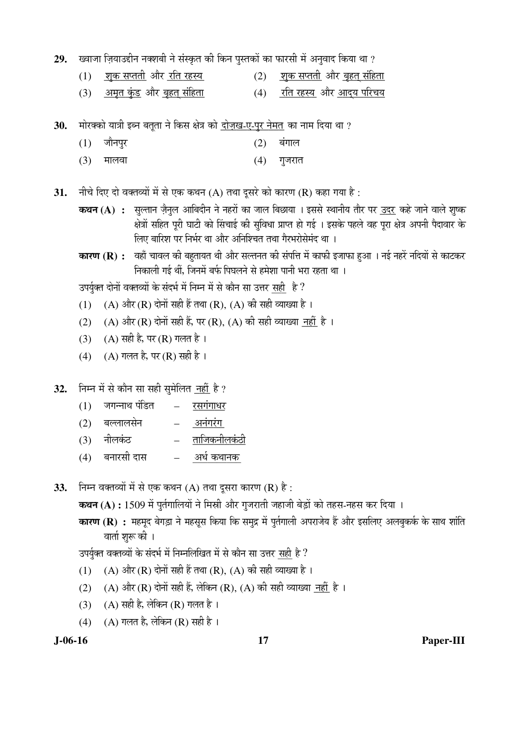29. ख्वाजा ज़ियाउद्दीन नक्शबी ने संस्कृत की किन पुस्तकों का फारसी में अनुवाद किया था ?

- (1) <u>शक सप्तती</u> और <u>रति रहस्य</u> (2) <u>शुक सप्तती</u> और <u>बृहत संहिता</u>
- (3) तथुमत कुंड और बृहत संहिता (4) रति रहस्य और आदय परिचय

30. <sup>`</sup>मोरक्को यात्री इब्न बतुता ने किस क्षेत्र को दोज़ख-ए-पुर नेमत का नाम दिया था ?

- (1) जौनपुर (2) बंगाल
- (3) मालवा (4) गुजरात

**31.** • नीचे दिए दो वक्तव्यों में से एक कथन (A) तथा दूसरे को कारण (R) कहा गया है :

**कथन (A) :** सल्तान जैनल आबिदीन ने नहरों का जाल बिछाया । इससे स्थानीय तौर पर उदर कहे जाने वाले शष्क क्षेत्रों सहित पूरी घाटी को सिंचाई की सुविधा प्राप्त हो गई । इसके पहले वह पूरा क्षेत्र अपनी पैदावार के लिए बारिश पर निर्भर था और अनिश्चित तथा गैरभरोसेमंद था ।

**कारण (R) :** वहाँ चावल की बहतायत थी और सल्तनत की संपत्ति में काफी इजाफा हुआ । नई नहरें नदियों से काटकर निकाली गई थीं, जिनमें बर्फ पिघलने से हमेशा पानी भरा रहता था ।

उपर्युक्त दोनों वक्तव्यों के संदर्भ में निम्न में से कौन सा उत्तर सही है ?

- $(1)$   $(A)$  और  $(R)$  दोनों सही हैं तथा  $(R)$ ,  $(A)$  की सही व्याख्या है ।
- (2) (A) और (R) दोनों सही हैं, पर (R), (A) की सही व्याख्या नहीं है ।
- (3) (A) सही है, पर (R) गलत है।
- (4) (A) गलत है, पर (R) सही है।

32. ਜਿਸ में से कौन सा सही सुमेलित नहीं है ?

- $(1)$  जगन्नाथ पंडित  $-$  रसगंगाधर
- (2) बल्लालसेन अनंगरंग
- $(3)$  नीलकंट ताजिकनीलकंठी
- (4) ²Ö®ÖÖ¸üÃÖß ¤üÖÃÖ \_\_\_\_\_\_\_\_\_\_ †¬ÖÔ Ûú£ÖÖ®ÖÛú
- **33.** Fira aक्तव्यों में से एक कथन (A) तथा दुसरा कारण (R) है:

**कथन (A) :** 1509 में पुर्तगालियों ने मिस्री और गुजराती जहाजी बेड़ों को तहस-नहस कर दिया ।

**कारण (R) :** महमूद बेगड़ा ने महसूस किया कि समुद्र में पुर्तगाली अपराजेय हैं और इसलिए अलबुकर्क के साथ शांति वार्ता शुरू की ।

उपर्युक्त वक्तव्यों के संदर्भ में निम्नलिखित में से कौन सा उत्तर सही है ?

- $(1)$   $(A)$  और  $(R)$  दोनों सही हैं तथा  $(R)$ ,  $(A)$  की सही व्याख्या है ।
- $(2)$   $(A)$  और  $(R)$  दोनों सही हैं, लेकिन  $(R)$ ,  $(A)$  की सही व्याख्या नहीं है ।
- $(3)$   $(A)$  सही है, लेकिन  $(R)$  गलत है।
- $(4)$   $(A)$  गलत है, लेकिन  $(R)$  सही है ।

**J-06-16 17 Paper-III**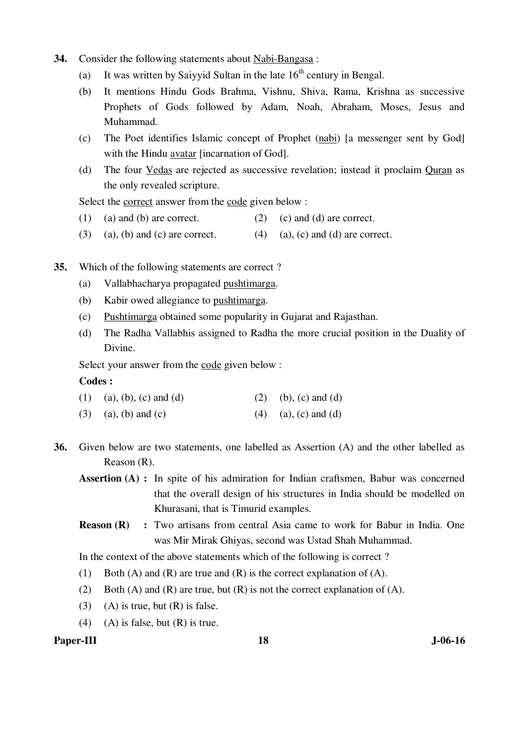- **34.** Consider the following statements about Nabi-Bangasa :
	- (a) It was written by Saiyyid Sultan in the late  $16<sup>th</sup>$  century in Bengal.
	- (b) It mentions Hindu Gods Brahma, Vishnu, Shiva, Rama, Krishna as successive Prophets of Gods followed by Adam, Noah, Abraham, Moses, Jesus and Muhammad.
	- (c) The Poet identifies Islamic concept of Prophet (nabi) [a messenger sent by God] with the Hindu avatar [incarnation of God].
	- (d) The four Vedas are rejected as successive revelation; instead it proclaim Quran as the only revealed scripture.

Select the correct answer from the code given below :

- (1) (a) and (b) are correct. (2) (c) and (d) are correct.
- (3) (a), (b) and (c) are correct. (4) (a), (c) and (d) are correct.
- **35.** Which of the following statements are correct ?
	- (a) Vallabhacharya propagated pushtimarga.
	- (b) Kabir owed allegiance to pushtimarga.
	- (c) Pushtimarga obtained some popularity in Gujarat and Rajasthan.
	- (d) The Radha Vallabhis assigned to Radha the more crucial position in the Duality of Divine.

Select your answer from the code given below :

#### **Codes :**

| (1) (a), (b), (c) and (d) | (2) (b), (c) and (d)   |
|---------------------------|------------------------|
| $(3)$ (a), (b) and (c)    | $(4)$ (a), (c) and (d) |

- **36.** Given below are two statements, one labelled as Assertion (A) and the other labelled as Reason (R).
	- **Assertion (A) :** In spite of his admiration for Indian craftsmen, Babur was concerned that the overall design of his structures in India should be modelled on Khurasani, that is Timurid examples.
	- **Reason (R)** : Two artisans from central Asia came to work for Babur in India. One was Mir Mirak Ghiyas, second was Ustad Shah Muhammad.

In the context of the above statements which of the following is correct ?

- (1) Both (A) and (R) are true and (R) is the correct explanation of (A).
- (2) Both (A) and (R) are true, but (R) is not the correct explanation of (A).
- (3) (A) is true, but  $(R)$  is false.
- (4) (A) is false, but  $(R)$  is true.

#### Paper-III **18** J-06-16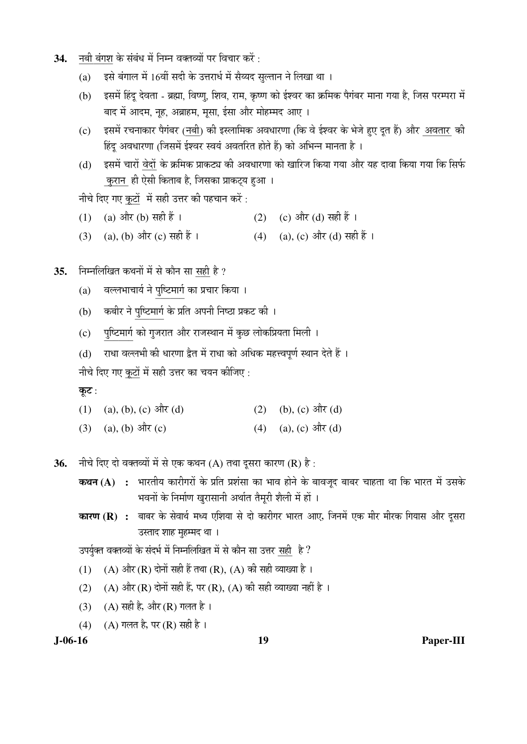- 34. <sup>—</sup>नबी बंगश के संबंध में निम्न वक्तव्यों पर विचार करें :
	- (a) दूसे बंगाल में 16वीं सदी के उत्तरार्ध में सैय्यद सुल्तान ने लिखा था ।
	- (b) इसमें हिंदु देवता ब्रह्मा, विष्णु, शिव, राम, कृष्ण को ईश्वर का क्रमिक पैगंबर माना गया है, जिस परम्परा में बाद में आदम, नृह, अब्राहम, मृसा, ईसा और मोहम्मद आए ।
	- (c) इसमें रचनाकार पैगंबर (नबी) की इस्लामिक अवधारणा (कि वे ईश्वर के भेजे हुए दुत हैं) और अवतार की हिंदु अवधारणा (जिसमें ईश्वर स्वयं अवतरित होते हैं) को अभिन्न मानता है ।
	- (d) इसमें चारों वेदों के क्रमिक प्राकट्य की अवधारणा को खारिज किया गया और यह दावा किया गया कि सिर्फ कुरान ही ऐसी किताब है, जिसका प्राकट्य हुआ ।

नीचे दिए गए कटों में सही उत्तर की पहचान करें:

- (1) (a) और (b) सही हैं ।  $(2)$  (c) और (d) सही हैं ।
- (3) (a), (b) और (c) सही हैं ।  $(4)$  (a), (c) और (d) सही हैं ।
- 35. FHमलिखित कथनों में से कौन सा सही है ?
- (a) वल्लभाचार्य ने <u>पुष्टिमार्ग</u> का प्रचार किया ।<br>————————————————————
- (b) कबीर ने पुष्टिमार्ग के प्रति अपनी निष्ठा प्रकट की ।<br>————————————————————
- (c) पुष्टिमार्ग को गुजरात और राजस्थान में कुछ लोकप्रियता मिली ।
	- (d) राधा वल्लभी की धारणा द्वैत में राधा को अधिक महत्त्वपूर्ण स्थान देते हैं ।

नीचे दिए गए कूटों में सही उत्तर का चयन कीजिए :

#### कूट:

- (1) (a), (b), (c)  $\frac{d}{dt}(d)$  (2) (b), (c)  $\frac{d}{dt}(d)$
- (3) (a), (b)  $3\vec{R}$  (c) (4) (a), (c)  $3\vec{R}$  (d)

**36.** नीचे दिए दो वक्तव्यों में से एक कथन (A) तथा दूसरा कारण (R) है:

- **कथन (A) :** भारतीय कारीगरों के प्रति प्रशंसा का भाव होने के बावजूद बाबर चाहता था कि भारत में उसके भवनों के निर्माण खरासानी अर्थात तैमरी शैली में हों ।
- **कारण (R) :** बाबर के सेवार्थ मध्य एशिया से दो कारीगर भारत आए, जिनमें एक मीर मीरक गियास और दूसरा उस्ताद शाह मुहम्मद था ।

उपर्युक्त वक्तव्यों के संदर्भ में निम्नलिखित में से कौन सा उत्तर सही है ?

- (1) (A) और (R) दोनों सही हैं तथा (R), (A) की सही व्याख्या है ।
- (2) (A) और (R) दोनों सही हैं, पर (R), (A) की सही व्याख्या नहीं है ।
- (3) (A) सही है, और (R) गलत है।
- (4) (A) गलत है, पर (R) सही है ।

**J-06-16 19 Paper-III**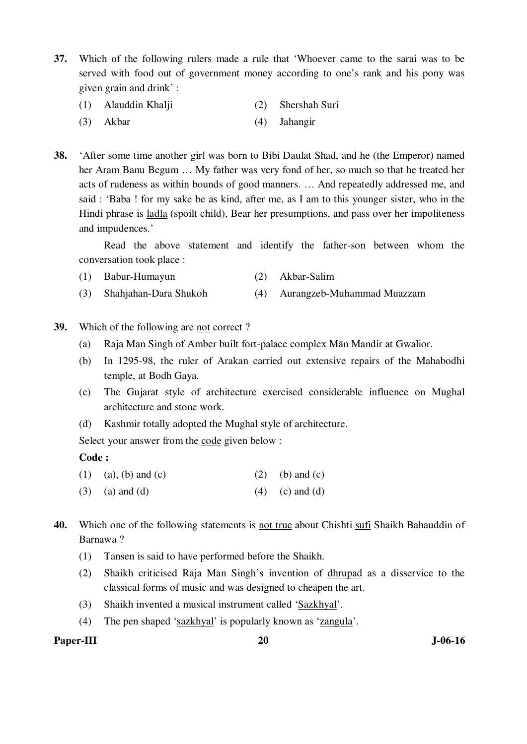**37.** Which of the following rulers made a rule that 'Whoever came to the sarai was to be served with food out of government money according to one's rank and his pony was given grain and drink' :

- (1) Alauddin Khalji (2) Shershah Suri
- (3) Akbar (4) Jahangir

**38.** 'After some time another girl was born to Bibi Daulat Shad, and he (the Emperor) named her Aram Banu Begum … My father was very fond of her, so much so that he treated her acts of rudeness as within bounds of good manners. … And repeatedly addressed me, and said : 'Baba ! for my sake be as kind, after me, as I am to this younger sister, who in the Hindi phrase is <u>ladla</u> (spoilt child), Bear her presumptions, and pass over her impoliteness and impudences.'

 Read the above statement and identify the father-son between whom the conversation took place :

- (1) Babur-Humayun (2) Akbar-Salim
- (3) Shahjahan-Dara Shukoh (4) Aurangzeb-Muhammad Muazzam
- **39.** Which of the following are not correct ?
	- (a) Raja Man Singh of Amber built fort-palace complex Mān Mandir at Gwalior.
	- (b) In 1295-98, the ruler of Arakan carried out extensive repairs of the Mahabodhi temple, at Bodh Gaya.
	- (c) The Gujarat style of architecture exercised considerable influence on Mughal architecture and stone work.
	- (d) Kashmir totally adopted the Mughal style of architecture.

Select your answer from the code given below :

#### **Code :**

| (1) (a), (b) and (c) | (2) (b) and (c) |
|----------------------|-----------------|
|                      |                 |

- (3) (a) and (d)  $(4)$  (c) and (d)
- **40.** Which one of the following statements is not true about Chishti sufi Shaikh Bahauddin of Barnawa ?
	- (1) Tansen is said to have performed before the Shaikh.
	- (2) Shaikh criticised Raja Man Singh's invention of dhrupad as a disservice to the classical forms of music and was designed to cheapen the art.
	- (3) Shaikh invented a musical instrument called 'Sazkhyal'.
	- (4) The pen shaped 'sazkhyal' is popularly known as 'zangula'.

#### Paper-III 20 J-06-16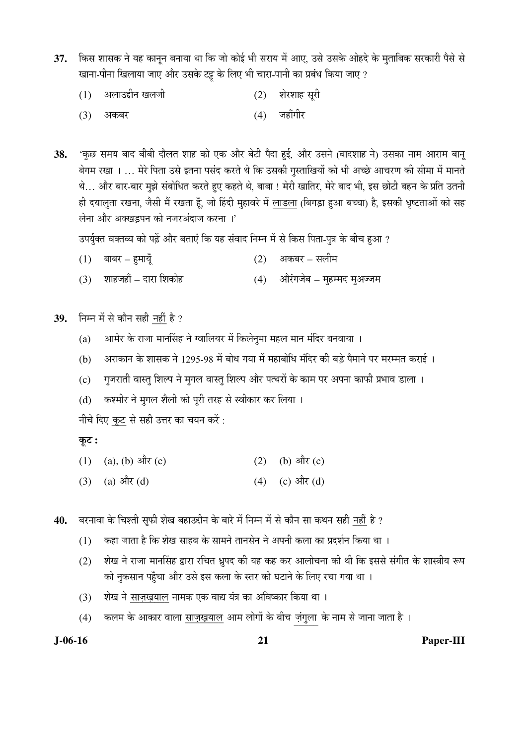- 37. किस शासक ने यह कानून बनाया था कि जो कोई भी सराय में आए, उसे उसके ओहदे के मुताबिक सरकारी पैसे से खाना-पीना खिलाया जाए और उसके टट्ट के लिए भी चारा-पानी का प्रबंध किया जाए ?
	- $(1)$  व्यलाउद्दीन खलजी (2) शेरशाह सुरी
- (3) अकबर (4) जहाँगीर

38. 'कुछ समय बाद बीबी दौलत शाह को एक और बेटी पैदा हई, और उसने (बादशाह ने) उसका नाम आराम बान् बेगम रखा । … मेरे पिता उसे इतना पसंद करते थे कि उसकी गुस्ताखियों को भी अच्छे आचरण की सीमा में मानते थे... और बार-बार मुझे संबोधित करते हुए कहते थे, बाबा ! मेरी खातिर, मेरे बाद भी, इस छोटी बहन के प्रति उतनी ही दयालुता रखना, जैसी मैं रखता हूँ, जो हिंदी मुहावरे में लाडला (बिगड़ा हुआ बच्चा) है, इसकी धृष्टताओं को सह लेना और अक्खडपन को नजरअंदाज करना ।'

उपर्युक्त वक्तव्य को पढ़ें और बताएं कि यह संवाद निम्न में से किस पिता-पुत्र के बीच हुआ ?

- (1) ²ÖÖ²Ö¸ü Æãü´ÖÖµÖæÑü (2) †Ûú²Ö¸ü ÃÖ»Öß´Ö
- (3) शाहजहाँ दारा शिकोह (4) औरंगजेब मुहम्मद मृअज्जम

39. ਜਿਸ में से कौन सही नहीं है ?

- $(a)$  » आमेर के राजा मार्नासंह ने ग्वालियर में किलेनुमा महल मान मंदिर बनवाया ।
- (b) अराकान के शासक ने 1295-98 में बोध गया में महाबोधि मंदिर की बड़े पैमाने पर मरम्मत कराई ।
- (c) गुजराती वास्त् शिल्प ने मुगल वास्त् शिल्प और पत्थरों के काम पर अपना काफी प्रभाव डाला ।
- (d) कश्मीर ने मुगल शैली को पूरी तरह से स्वीकार कर लिया ।

नीचे दिए कुट से सही उत्तर का चयन करें :

Ûæú™ü **:**

- (1) (a), (b)  $3\pi$ <sup>i</sup>(c) (2) (b)  $3\pi$ <sup>i</sup>(c)
- (3) (a)  $\frac{\partial \mathbf{F}}{\partial \mathbf{G}}$  (d) (d) (d) (d)  $\frac{\partial \mathbf{F}}{\partial \mathbf{G}}$

40. बरनावा के चिश्ती सुफी शेख बहाउद्दीन के बारे में निम्न में से कौन सा कथन सही नहीं है ?

- $(1)$  कहा जाता है कि शेख साहब के सामने तानसेन ने अपनी कला का प्रदर्शन किया था ।
- (2) शेख ने राजा मानसिंह द्वारा रचित ध्रुपद की यह कह कर आलोचना की थी कि इससे संगीत के शास्त्रीय रूप को नुकसान पहुँचा और उसे इस कला के स्तर को घटाने के लिए रचा गया था ।
- (3) शेख ने साज़ख़याल नामक एक वाद्य यंत्र का अविष्कार किया था ।
- (4) कलम के आकार वाला <u>साज़ख़याल</u> आम लोगों के बीच <u>ज़ंगुला</u> के नाम से जाना जाता है ।

**J-06-16 21 Paper-III**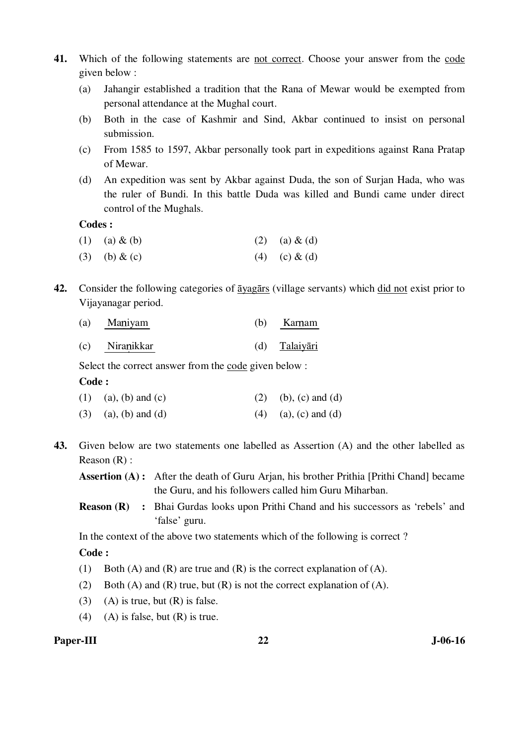- **41.** Which of the following statements are not correct. Choose your answer from the code given below :
	- (a) Jahangir established a tradition that the Rana of Mewar would be exempted from personal attendance at the Mughal court.
	- (b) Both in the case of Kashmir and Sind, Akbar continued to insist on personal submission.
	- (c) From 1585 to 1597, Akbar personally took part in expeditions against Rana Pratap of Mewar.
	- (d) An expedition was sent by Akbar against Duda, the son of Surjan Hada, who was the ruler of Bundi. In this battle Duda was killed and Bundi came under direct control of the Mughals.

#### **Codes :**

- (1) (a)  $\&$  (b) (2) (a)  $\&$  (d)
- (3) (b) & (c) (4) (c) & (d)
- **42.** Consider the following categories of āyagārs (village servants) which did not exist prior to Vijayanagar period.

| (a) Maniyam    | (b) | Karnam        |
|----------------|-----|---------------|
| (c) Niranikkar |     | (d) Talaiyāri |

Select the correct answer from the code given below :

### **Code :**

| (1) (a), (b) and (c)   | (2) (b), (c) and (d)   |
|------------------------|------------------------|
| $(3)$ (a), (b) and (d) | $(4)$ (a), (c) and (d) |

**43.** Given below are two statements one labelled as Assertion (A) and the other labelled as Reason (R) :

**Assertion (A) :** After the death of Guru Arjan, his brother Prithia [Prithi Chand] became the Guru, and his followers called him Guru Miharban.

**Reason (R) :** Bhai Gurdas looks upon Prithi Chand and his successors as 'rebels' and 'false' guru.

In the context of the above two statements which of the following is correct ?

# **Code :**

- (1) Both (A) and (R) are true and (R) is the correct explanation of (A).
- (2) Both (A) and (R) true, but (R) is not the correct explanation of (A).
- (3) (A) is true, but  $(R)$  is false.
- (4) (A) is false, but  $(R)$  is true.

### Paper-III 22 J-06-16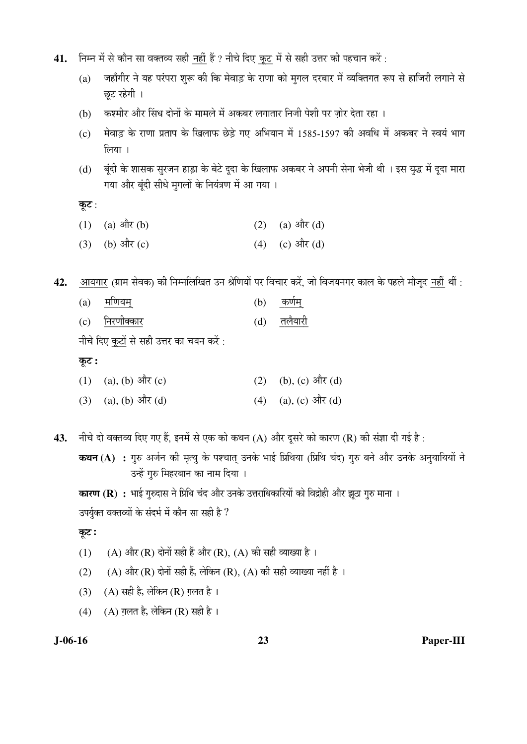- 41. Fir में से कौन सा वक्तव्य सही नहीं हैं ? नीचे दिए कूट में से सही उत्तर की पहचान करें :
	- (a) जहाँगीर ने यह परंपरा शुरू की कि मेवाड़ के राणा को मुगल दरबार में व्यक्तिगत रूप से हाजिरी लगाने से छट रहेगी ।
	- (b) कश्मीर और सिंध दोनों के मामले में अकबर लगातार निजी पेशी पर जोर देता रहा ।
	- (c) मेवाड़ के राणा प्रताप के खिलाफ छेड़े गए अभियान में 1585-1597 की अवधि में अकबर ने स्वयं भाग  $\overline{6}$ लिया ।
	- (d) बूंदी के शासक सुरजन हाड़ा के बेटे दूदा के खिलाफ अकबर ने अपनी सेना भेजी थी । इस युद्ध में दूदा मारा गया और बुंदी सीधे मुगलों के नियंत्रण में आ गया ।

कूट:

- (1) (a)  $3\ddot{R}$  (b) (2) (a)  $3\dot{R}$  (d)
- (3) (b)  $\frac{d\vec{r}}{dt}$  (c) (d) (c)  $\frac{d\vec{r}}{dt}$  (d)

42. आयगार (ग्राम सेवक) की निम्नलिखित उन श्रेणियों पर विचार करें, जो विजयनगर काल के पहले मौजूद नहीं थीं :

- (a) <u>मणियम्</u> (b) <u>कर्णम्</u>
	- (c) निरणीक्कार (d) तलैयारी

नीचे दिए कूटों से सही उत्तर का चयन करें:

#### कूट :

| (1) (a), (b) और (c)   | (2) (b), (c) और (d)   |
|-----------------------|-----------------------|
| $(3)$ (a), (b) और (d) | $(4)$ (a), (c) और (d) |

43. नीचे दो वक्तव्य दिए गए हैं, इनमें से एक को कथन (A) और दूसरे को कारण (R) की संज्ञा दी गई है:

**कथन (A) :** गुरु अर्जन की मृत्यु के पश्चात् उनके भाई प्रिथिया (प्रिथि चंद) गुरु बने और उनके अनुयायियों ने उन्हें गुरु मिहरबान का नाम दिया ।

**कारण (R) :** भाई गुरुदास ने प्रिथि चंद और उनके उत्तराधिकारियों को विद्रोही और झूठा गुरु माना ।

उपर्युक्त वक्तव्यों के संदर्भ में कौन सा सही है ?

#### कूट :

- (1) (A) और (R) दोनों सही हैं और (R), (A) की सही व्याख्या है ।
- (2) (A) और (R) दोनों सही हैं, लेकिन (R), (A) की सही व्याख्या नहीं है ।
- (3) (A) सही है, लेकिन (R) ग़लत है।
- (4) (A) ग़लत है, लेकिन (R) सही है ।

**J-06-16 23 Paper-III**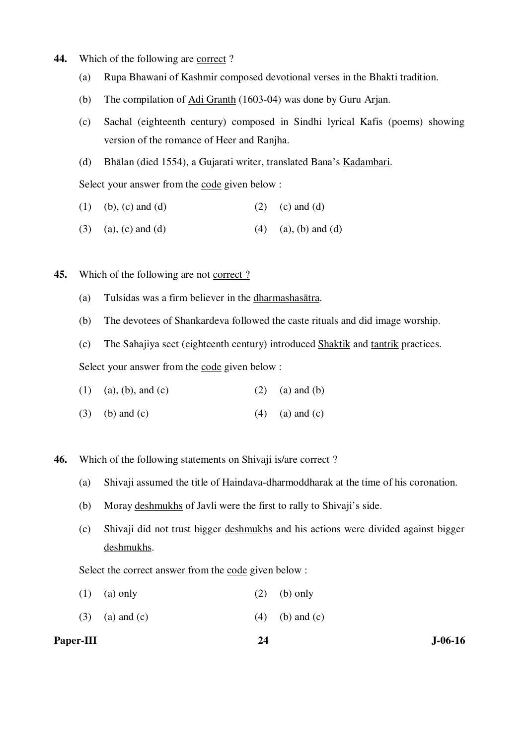- **44.** Which of the following are correct ?
	- (a) Rupa Bhawani of Kashmir composed devotional verses in the Bhakti tradition.
	- (b) The compilation of Adi Granth (1603-04) was done by Guru Arjan.
	- (c) Sachal (eighteenth century) composed in Sindhi lyrical Kafis (poems) showing version of the romance of Heer and Ranjha.
	- (d) Bhālan (died 1554), a Gujarati writer, translated Bana's Kadambari.

Select your answer from the code given below :

- (1) (b), (c) and (d) (2) (c) and (d)
- (3) (a), (c) and (d) (4) (a), (b) and (d)
- **45.** Which of the following are not correct?
	- (a) Tulsidas was a firm believer in the dharmashasātra.
	- (b) The devotees of Shankardeva followed the caste rituals and did image worship.

(c) The Sahajiya sect (eighteenth century) introduced Shaktik and tantrik practices.

Select your answer from the code given below :

| $(1)$ (a), (b), and (c) |  | $(2)$ (a) and (b) |
|-------------------------|--|-------------------|
|-------------------------|--|-------------------|

- (3) (b) and (c)  $(4)$  (a) and (c)
- **46.** Which of the following statements on Shivaji is/are correct?
	- (a) Shivaji assumed the title of Haindava-dharmoddharak at the time of his coronation.
	- (b) Moray deshmukhs of Javli were the first to rally to Shivaji's side.
	- (c) Shivaji did not trust bigger deshmukhs and his actions were divided against bigger deshmukhs.

Select the correct answer from the code given below :

- (1) (a) only (2) (b) only
- (3) (a) and (c)  $(4)$  (b) and (c)

#### Paper-III 24 J-06-16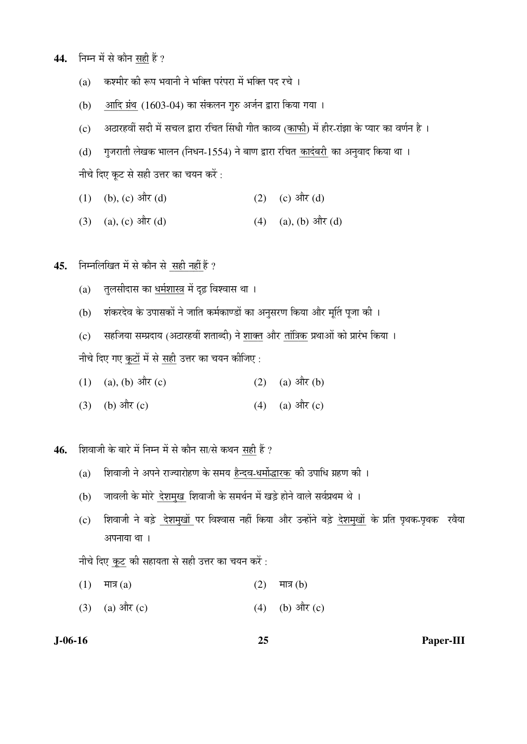- 44. निम्न में से कौन सही हैं ?
	- (a) कश्मीर की रूप भवानी ने भक्ति परंपरा में भक्ति पद रचे ।
	- (b) आदि ग्रंथ (1603-04) का संकलन गुरु अर्जन द्वारा किया गया ।
	- (c) अठारहवीं सदी में सचल द्वारा रचित सिंधी गीत काव्य (काफी) में हीर-रांझा के प्यार का वर्णन है ।
	- (d) गुजराती लेखक भालन (निधन-1554) ने बाण द्वारा रचित <u>कादंबरी</u> का अनुवाद किया था ।

नीचे दिए कूट से सही उत्तर का चयन करें:

- (1) (b), (c)  $\frac{d\vec{r}}{dt}$  (d) (2) (c)  $\frac{d\vec{r}}{dt}$  (d)
- (3) (a), (c)  $\frac{\partial \hat{\mathbf{r}}}{\partial t}$  (d) (4) (a), (b)  $\frac{\partial \hat{\mathbf{r}}}{\partial t}$  (d)

45. **निम्नलिखित में से कौन से सही नहीं हैं** ?

- (a) तुलसीदास का धर्मशास्त्र में दृढ़ विश्वास था ।
- (b) शंकरदेव के उपासकों ने जाति कर्मकाण्डों का अनुसरण किया और मूर्ति पूजा की ।

(c) सहजिया सम्प्रदाय (अठारहवीं शताब्दी) ने शाक्त और तांत्रिक प्रथाओं को प्रारंभ किया । नीचे दिए गए कूटों में से सही उत्तर का चयन कीजिए :

- (1) (a), (b)  $3\pi$ <sup>i</sup>(c) (2) (a)  $3\pi$ <sup>i</sup>(b)
- (3) (b)  $3\pi$  (c) (4) (a)  $3\pi$  (c)

46. शिवाजी के बारे में निम्न में से कौन सा/से कथन सही हैं ?

- (a) हिंगवाजी ने अपने राज्यारोहण के समय हैन्दव-धर्मोद्धारक की उपाधि ग्रहण की ।
- (b) जावली के मोरे देशमुख शिवाजी के समर्थन में खड़े होने वाले सर्वप्रथम थे ।
- (c) शिवाजी ने बड़े देशमुखों पर विश्वास नहीं किया और उन्होंने बड़े देशमुखों के प्रति पृथक-पृथक रवैया अपनाया था ।

नीचे दिए कूट की सहायता से सही उत्तर का चयन करें:

- $(1)$  मात्र  $(a)$  (2) मात्र  $(b)$
- (3) (a)  $3\hat{R}(c)$  (4) (b)  $3\hat{R}(c)$

**J-06-16 25 Paper-III**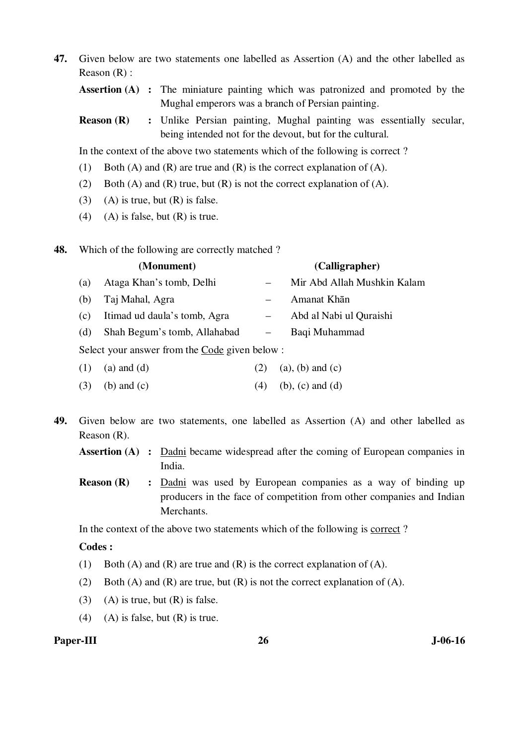**47.** Given below are two statements one labelled as Assertion (A) and the other labelled as Reason (R) :

**Assertion (A) :** The miniature painting which was patronized and promoted by the Mughal emperors was a branch of Persian painting.

**Reason (R)** : Unlike Persian painting, Mughal painting was essentially secular, being intended not for the devout, but for the cultural.

In the context of the above two statements which of the following is correct ?

- (1) Both (A) and (R) are true and (R) is the correct explanation of (A).
- (2) Both (A) and (R) true, but (R) is not the correct explanation of (A).
- (3) (A) is true, but  $(R)$  is false.
- (4) (A) is false, but  $(R)$  is true.
- **48.** Which of the following are correctly matched ?

|     | (Monument)                                           |                          | (Calligrapher)              |
|-----|------------------------------------------------------|--------------------------|-----------------------------|
| (a) | Ataga Khan's tomb, Delhi                             |                          | Mir Abd Allah Mushkin Kalam |
| (b) | Taj Mahal, Agra                                      |                          | Amanat Khān                 |
| (c) | Itimad ud daula's tomb, Agra                         |                          | Abd al Nabi ul Quraishi     |
| (d) | Shah Begum's tomb, Allahabad                         | $\overline{\phantom{m}}$ | Baqi Muhammad               |
|     | Select your answer from the Code given below $\cdot$ |                          |                             |

Select you

- (1) (a) and (d) (2) (a), (b) and (c)
- (3) (b) and (c) (4) (b), (c) and (d)
- **49.** Given below are two statements, one labelled as Assertion (A) and other labelled as Reason (R).
	- **Assertion (A) :** Dadni became widespread after the coming of European companies in India.
	- **Reason (R)** : <u>Dadni</u> was used by European companies as a way of binding up producers in the face of competition from other companies and Indian Merchants.

In the context of the above two statements which of the following is correct ?

#### **Codes :**

- (1) Both (A) and (R) are true and (R) is the correct explanation of (A).
- (2) Both (A) and (R) are true, but  $(R)$  is not the correct explanation of (A).
- (3) (A) is true, but  $(R)$  is false.
- (4) (A) is false, but  $(R)$  is true.

#### Paper-III 26 J-06-16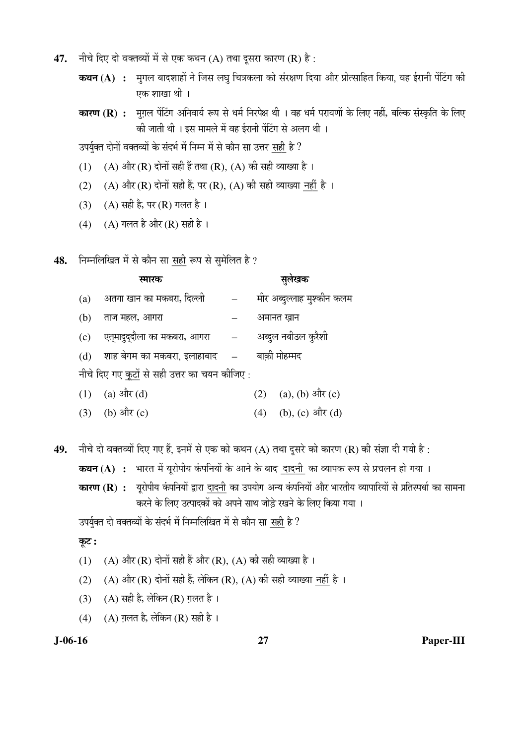- **47.** नीचे दिए दो वक्तव्यों में से एक कथन (A) तथा दूसरा कारण (R) है:
	- **कथन (A) :** मुगल बादशाहों ने जिस लघु चित्रकला को संरक्षण दिया और प्रोत्साहित किया, वह ईरानी पेंटिंग की एक शाखा थी ।
	- **कारण (R) :** मुगल पेंटिंग अनिवार्य रूप से धर्म निरपेक्ष थी । वह धर्म परायणों के लिए नहीं, बल्कि संस्कृति के लिए की जाती थी । इस मामले में वह ईरानी पेंटिंग से अलग थी ।

उपर्युक्त दोनों वक्तव्यों के संदर्भ में निम्न में से कौन सा उत्तर सही है ?

- (1) (A) और (R) दोनों सही हैं तथा (R), (A) की सही व्याख्या है।
- (2) (A) और (R) दोनों सही हैं, पर (R), (A) की सही व्याख्या नहीं है ।
- (3) (A) सही है, पर (R) गलत है।
- (4) (A) गलत है और (R) सही है ।
- 48. FHमलिखित में से कौन सा सही रूप से सुमेलित है ?

|     | स्मारक                                        | सुलेखक                     |
|-----|-----------------------------------------------|----------------------------|
| (a) | अतगा खान का मकबरा, दिल्ली                     | मीर अब्दुल्लाह मुश्कीन कलम |
| (b) | ताज महल, आगरा                                 | अमानत ख़ान                 |
|     | (c) एत्मादुद्दौला का मकबरा, आगरा –            | अब्दुल नबीउल कुरैशी        |
|     | (d) शाह बेगम का मकबरा, इलाहाबाद   —           | बाक़ी मोहम्मद              |
|     | नीचे दिए गए कूटों से सही उत्तर का चयन कीजिए : |                            |

(1) (a)  $\frac{\partial \vec{r}}{\partial x}$  (d)  $\frac{\partial \vec{r}}{\partial y}$  (2) (a), (b)  $\frac{\partial \vec{r}}{\partial x}$  (c)

- (3) (b)  $3\hat{R}$  (c) (4) (b), (c)  $3\hat{R}$  (d)
- 49. नीचे दो वक्तव्यों दिए गए हैं. इनमें से एक को कथन (A) तथा दुसरे को कारण (R) की संज्ञा दी गयी है:

**कथन (A) :** भारत में यूरोपीय कंपनियों के आने के बाद दादनी का व्यापक रूप से प्रचलन हो गया ।

**कारण (R) :** यूरोपीय कंपनियों द्वारा दादनी का उपयोग अन्य कंपनियों और भारतीय व्यापारियों से प्रतिस्पर्धा का सामना करने के लिए उत्पादकों को अपने साथ जोड़े रखने के लिए किया गया ।

उपर्युक्त दो वक्तव्यों के संदर्भ में निम्नलिखित में से कौन सा सही है ?

- कूट :
- (1) (A) और (R) दोनों सही हैं और (R), (A) की सही व्याख्या है।
- (2) (A) और (R) दोनों सही हैं, लेकिन (R), (A) की सही व्याख्या नहीं है।
- (3) (A) सही है, लेकिन (R) ग़लत है।
- (4) (A) ग़लत है, लेकिन (R) सही है।

#### **J-06-16 27 Paper-III**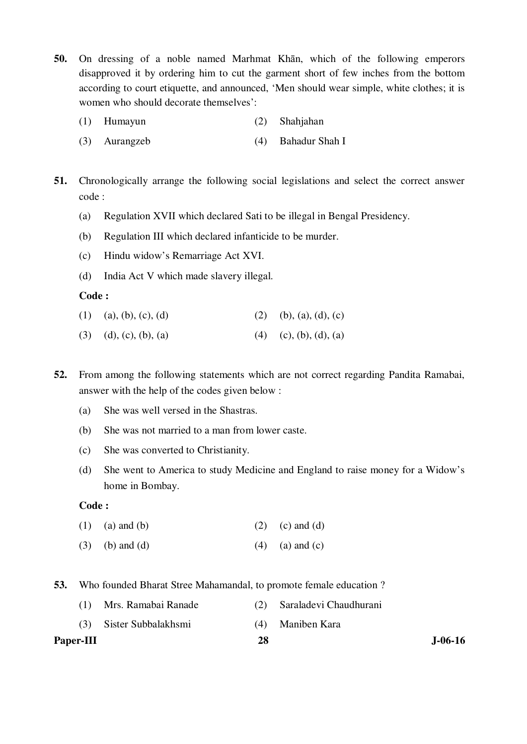- **50.** On dressing of a noble named Marhmat Khān, which of the following emperors disapproved it by ordering him to cut the garment short of few inches from the bottom according to court etiquette, and announced, 'Men should wear simple, white clothes; it is women who should decorate themselves':
	- (1) Humayun (2) Shahjahan
	- (3) Aurangzeb (4) Bahadur Shah I
- **51.** Chronologically arrange the following social legislations and select the correct answer code :
	- (a) Regulation XVII which declared Sati to be illegal in Bengal Presidency.
	- (b) Regulation III which declared infanticide to be murder.
	- (c) Hindu widow's Remarriage Act XVI.
	- (d) India Act V which made slavery illegal.

## **Code :**

- (1) (a), (b), (c), (d) (2) (b), (a), (d), (c)
- (3) (d), (c), (b), (a) (4) (c), (b), (d), (a)
- **52.** From among the following statements which are not correct regarding Pandita Ramabai, answer with the help of the codes given below :
	- (a) She was well versed in the Shastras.
	- (b) She was not married to a man from lower caste.
	- (c) She was converted to Christianity.
	- (d) She went to America to study Medicine and England to raise money for a Widow's home in Bombay.

### **Code :**

- (1) (a) and (b) (2) (c) and (d)
- (3) (b) and (d)  $(4)$  (a) and (c)
- **53.** Who founded Bharat Stree Mahamandal, to promote female education ?
- Paper-III 28 J-06-16 (1) Mrs. Ramabai Ranade (2) Saraladevi Chaudhurani (3) Sister Subbalakhsmi (4) Maniben Kara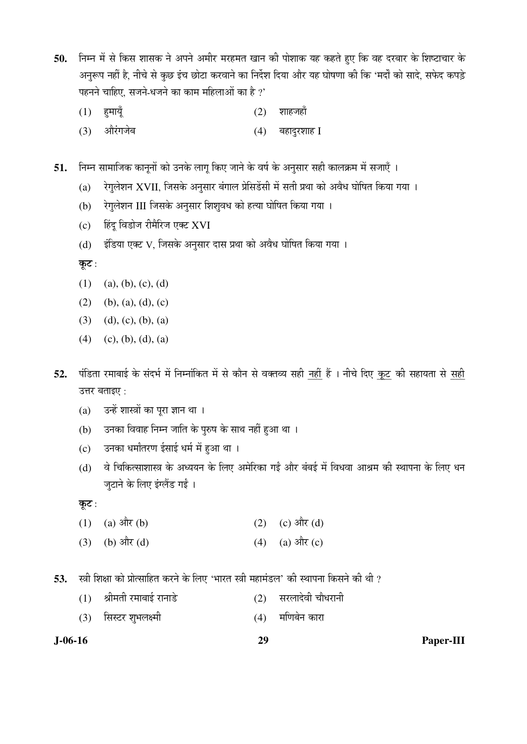50. निम्न में से किस शासक ने अपने अमीर मरहमत खान की पोशाक यह कहते हुए कि वह दरबार के शिष्टाचार के अनुरूप नहीं है, नीचे से कुछ इंच छोटा करवाने का निर्देश दिया और यह घोषणा की कि 'मर्दों को सादे, सफेद कपड़े पहनने चाहिए, सजने-धजने का काम महिलाओं का है ?'

- $(1)$  हुमायूँ  $(2)$  शाहजहाँ
	- $(3)$  औरंगजेब $(4)$  बहादुरशाह I

51. निम्न सामाजिक कानूनों को उनके लागू किए जाने के वर्ष के अनुसार सही कालक्रम में सजाएँ ।

- (a)  $\lambda$ गुलेशन XVII, जिसके अनुसार बंगाल प्रेसिडेंसी में सती प्रथा को अवैध घोषित किया गया ।
- (b) रेगुलेशन III जिसके अनुसार शिशुवध को हत्या घोषित किया गया ।
- (c) हिंदू विडोज रीमैरिज एक्ट XVI
- (d) इंडिया एक्ट V, जिसके अनुसार दास प्रथा को अवैध घोषित किया गया ।

कूट:

- $(1)$  (a), (b), (c), (d)
- (2) (b), (a), (d), (c)
- (3) (d), (c), (b), (a)
- $(4)$  (c), (b), (d), (a)
- 52. पंडिता रमाबाई के संदर्भ में निम्नांकित में से कौन से वक्तव्य सही नहीं हैं । नीचे दिए कूट की सहायता से सही उत्तर बताइए:
	- (a) उन्हें शास्त्रों का पूरा ज्ञान था ।
	- (b) उनका विवाह निम्न जाति के पुरुष के साथ नहीं हुआ था ।
	- (c) उनका धर्मांतरण ईसाई धर्म में हुआ था ।
	- (d) वे चिकित्साशास्त्र के अध्ययन के लिए अमेरिका गईं और बंबई में विधवा आश्रम की स्थापना के लिए धन जुटाने के लिए इंग्लैंड गईं ।

कूट:

- (1) (a)  $3\ddot{R}$  (b) (2) (c)  $3\dot{R}$  (d)
- (3) (b)  $\frac{d\vec{r}}{dt}$  (d) (a)  $\frac{d\vec{r}}{dt}$  (c)

**53.** स्त्री शिक्षा को प्रोत्साहित करने के लिए 'भारत स्त्री महामंडल' की स्थापना किसने की थी ?

- $(1)$  श्रीमती रमाबाई रानाडे (2) सरलादेवी चौधरानी
- (3) सिस्टर शुभलक्ष्मी (4) मणिबेन कारा

**J-06-16 29 Paper-III**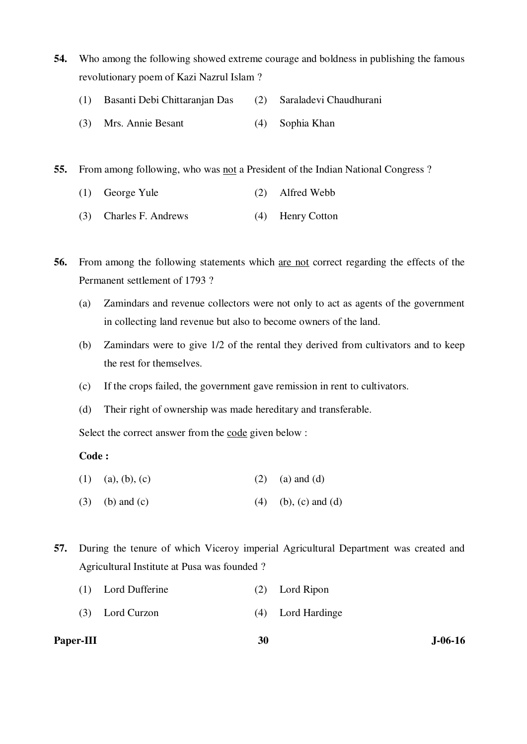- **54.** Who among the following showed extreme courage and boldness in publishing the famous revolutionary poem of Kazi Nazrul Islam ?
	- (1) Basanti Debi Chittaranjan Das (2) Saraladevi Chaudhurani
	- (3) Mrs. Annie Besant (4) Sophia Khan

**55.** From among following, who was not a President of the Indian National Congress ?

- (1) George Yule (2) Alfred Webb
- (3) Charles F. Andrews (4) Henry Cotton

**56.** From among the following statements which are not correct regarding the effects of the Permanent settlement of 1793 ?

- (a) Zamindars and revenue collectors were not only to act as agents of the government in collecting land revenue but also to become owners of the land.
- (b) Zamindars were to give 1/2 of the rental they derived from cultivators and to keep the rest for themselves.
- (c) If the crops failed, the government gave remission in rent to cultivators.
- (d) Their right of ownership was made hereditary and transferable.

Select the correct answer from the code given below :

#### **Code :**

- (1) (a), (b), (c) (2) (a) and (d)
- (3) (b) and (c) (4) (b), (c) and (d)
- **57.** During the tenure of which Viceroy imperial Agricultural Department was created and Agricultural Institute at Pusa was founded ?
	- (1) Lord Dufferine (2) Lord Ripon
	- (3) Lord Curzon (4) Lord Hardinge

**Paper-III** 30 J-06-16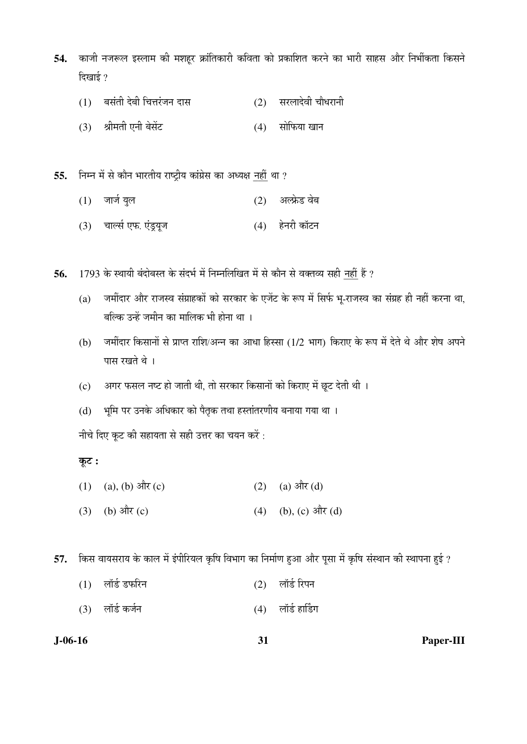- 54. काजी नजरूल इस्लाम की मशहूर क्रांतिकारी कविता को प्रकाशित करने का भारी साहस और निर्भीकता किसने दिखाई $?$ 
	- $(1)$  बसंती देबी चित्तरंजन दास  $(2)$  सरलादेवी चौधरानी
	- $(3)$  श्रीमती एनी बेसेंट  $(4)$  सोफिया खान
- 55. fira में से कौन भारतीय राष्ट्रीय कांग्रेस का अध्यक्ष नहीं था ?
	- (1) •ÖÖ•ÖÔ µÖã»Öü (2) †»±Ïêú›ü ¾Öê²Ö
	- (3) चार्ल्स एफ. एंड्रयूज (4) हेनरी कॉटन

56. 1793 के स्थायी बंदोबस्त के संदर्भ में निम्नलिखित में से कौन से वक्तव्य सही नहीं हैं ?

- (a) जमींदार और राजस्व संग्राहकों को सरकार के एजेंट के रूप में सिर्फ भ्-राजस्व का संग्रह ही नहीं करना था, बल्कि उन्हें जमीन का मालिक भी होना था ।
- (b) जमींदार किसानों से प्राप्त राशि/अन्न का आधा हिस्सा (1/2 भाग) किराए के रूप में देते थे और शेष अपने पास रखते थे।
- $(c)$  अगर फसल नष्ट हो जाती थी, तो सरकार किसानों को किराए में छूट देती थी ।
- (d) भूमि पर उनके अधिकार को पैतृक तथा हस्तांतरणीय बनाया गया था ।

नीचे दिए कूट की सहायता से सही उत्तर का चयन करें:

# कूट :

- (1) (a), (b) और (c)  $(2)$  (a) और (d)
- (3) (b)  $\frac{d}{dx}(c)$  (4) (b), (c)  $\frac{d}{dx}(d)$

57. किस वायसराय के काल में इंपीरियल कृषि विभाग का निर्माण हुआ और पूसा में कृषि संस्थान की स्थापना हुई ?

- $(1)$  लॉर्ड डफरिन  $(2)$  लॉर्ड रिपन
- (3) लॉर्ड कर्जन (4) लॉर्ड हार्डिंग

## **J-06-16 31 Paper-III**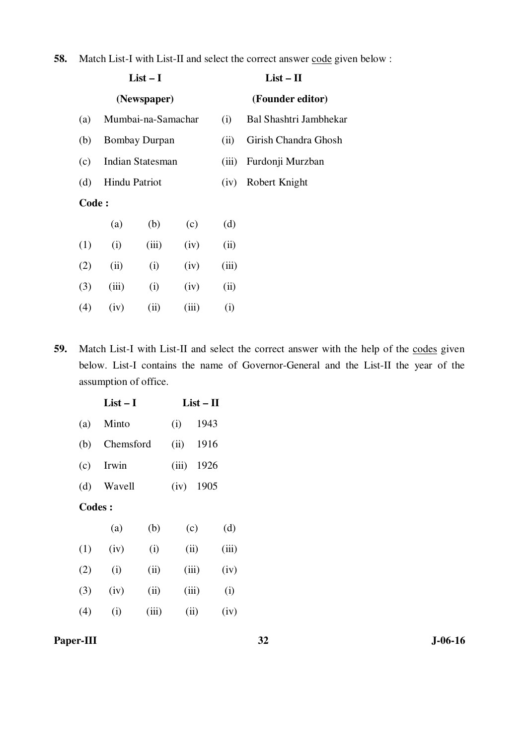| <b>58.</b> Match List-I with List-II and select the correct answer code given below: |  |  |
|--------------------------------------------------------------------------------------|--|--|
|--------------------------------------------------------------------------------------|--|--|

| $List-I$ |               |                      |       | $List - II$ |                        |  |
|----------|---------------|----------------------|-------|-------------|------------------------|--|
|          |               | (Newspaper)          |       |             | (Founder editor)       |  |
| (a)      |               | Mumbai-na-Samachar   |       | (i)         | Bal Shashtri Jambhekar |  |
| (b)      |               | <b>Bombay Durpan</b> |       | (ii)        | Girish Chandra Ghosh   |  |
| (c)      |               | Indian Statesman     |       | (iii)       | Furdonji Murzban       |  |
| (d)      | Hindu Patriot |                      |       | (iv)        | Robert Knight          |  |
| Code:    |               |                      |       |             |                        |  |
|          | (a)           | (b)                  | (c)   | (d)         |                        |  |
| (1)      | (i)           | (iii)                | (iv)  | (ii)        |                        |  |
| (2)      | (ii)          | (i)                  | (iv)  | (iii)       |                        |  |
| (3)      | (iii)         | (i)                  | (iv)  | (ii)        |                        |  |
| (4)      | (iv)          | (ii)                 | (iii) | (i)         |                        |  |

59. Match List-I with List-II and select the correct answer with the help of the codes given below. List-I contains the name of Governor-General and the List-II the year of the assumption of office.

|               | $List-I$  |       | $List - II$ |      |       |
|---------------|-----------|-------|-------------|------|-------|
| (a)           | Minto     |       | (i)         | 1943 |       |
| (b)           | Chemsford |       | (ii)        | 1916 |       |
| (c)           | Irwin     |       | (iii)       | 1926 |       |
| (d)           | Wavell    |       | (iv)        | 1905 |       |
| <b>Codes:</b> |           |       |             |      |       |
|               | (a)       | (b)   | (c)         |      | (d)   |
| (1)           | (iv)      | (i)   | (ii)        |      | (iii) |
| (2)           | (i)       | (ii)  | (iii)       |      | (iv)  |
| (3)           | (iv)      | (ii)  | (iii)       |      | (i)   |
| (4)           | (i)       | (iii) | (ii)        |      | (iv)  |

# **Paper-III** 32 J-06-16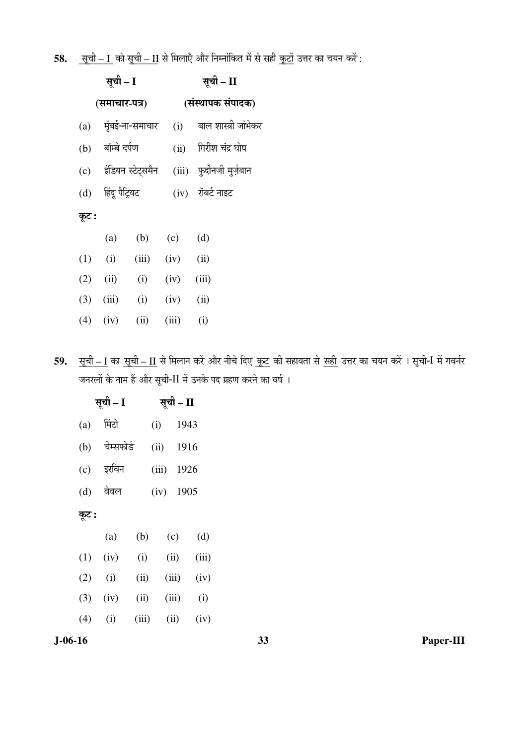**58.** \_\_\_\_\_\_\_ ÃÖæ"Öß – I ÛúÖê ÃÖæ"Öß \_\_\_\_\_\_ – II ÃÖê ×´Ö»ÖÖ‹Ñ †Öî¸ü ×®Ö´®ÖÖÓ×ÛúŸÖ ´Öë ÃÖê ÃÖÆüß \_\_\_Ûæú™üÖë ˆ¢Ö¸ü ÛúÖ "ÖµÖ®Ö Ûú¸ëü :

| सूची – I |                    |                       |                | सूची – II                     |  |  |  |
|----------|--------------------|-----------------------|----------------|-------------------------------|--|--|--|
|          | (समाचार-पत्र)      |                       |                | (संस्थापक संपादक)             |  |  |  |
|          |                    | (a) मुंबई-ना-समाचार   |                | (i)      बाल शास्त्री जांभेकर |  |  |  |
| (b)      | बॉम्बे दर्पण       |                       |                | (ii) गिरीश चंद्र घोष          |  |  |  |
|          |                    | (c) इंडियन स्टेट्समैन |                | (iii) फुर्दोनजी मुर्ज़बान     |  |  |  |
|          | (d) हिंदू पैट्रियट |                       |                | $(iv)$ रॉबर्ट नाइट            |  |  |  |
| कूट :    |                    |                       |                |                               |  |  |  |
|          | (a)                | (b)                   | (c)            | (d)                           |  |  |  |
| (1)      | (i)                | (iii)                 | $(iv)$ (ii)    |                               |  |  |  |
| (2)      | (ii)               | (i)                   | $(iv)$ $(iii)$ |                               |  |  |  |
| (3)      | (iii)              | (i)                   | (iv)           | (ii)                          |  |  |  |
| (4)      | (iv)               | (ii)                  | (iii)          | (i)                           |  |  |  |

**59.** \_\_\_\_\_\_ ÃÖæ"Öß – I ÛúÖ \_\_\_\_\_\_\_ ÃÖæ"Öß – II ÃÖê ×´Ö»ÖÖ®Ö Ûú¸ëü †Öî¸ü ®Öß"Öê פü‹ \_\_\_ Ûæú™ü Ûúß ÃÖÆüÖµÖŸÖÖ ÃÖê \_\_\_ ÃÖÆüß ˆ¢Ö¸ü ÛúÖ "ÖµÖ®Ö Ûú¸ëü … ÃÖæ"Öß-I ´Öë ÝÖ¾Ö®ÖÔ¸ü जनरलों के नाम हैं और सूची-II में उनके पद ग्रहण करने का वर्ष ।

| सूची – I | सूची – II  |       |       |       |       |
|----------|------------|-------|-------|-------|-------|
| (a)      | मिंटो      |       | (i)   | 1943  |       |
| (b)      | चेम्सफोर्ड |       | (ii)  | 1916  |       |
| (c)      | इरविन      |       | (iii) | 1926  |       |
| (d)      | वेवल       |       | (iv)  | 1905  |       |
| कूट :    |            |       |       |       |       |
|          | (a)        | (b)   |       | (c)   | (d)   |
| (1)      | (iv)       | (i)   |       | (ii)  | (iii) |
| (2)      | (i)        | (ii)  |       | (iii) | (iv)  |
| (3)      | (iv)       | (ii)  |       | (iii) | (i)   |
| (4)      | (i)        | (iii) |       | (ii)  | (iv)  |
|          |            |       |       |       |       |

**J-06-16 33 Paper-III**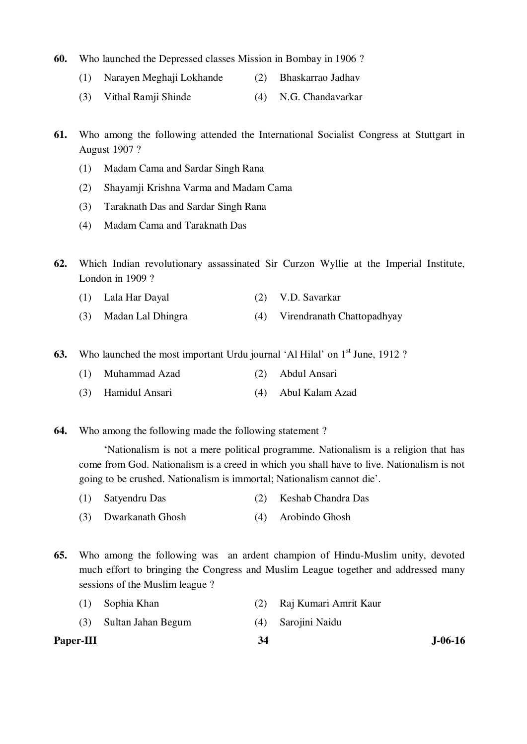- **60.** Who launched the Depressed classes Mission in Bombay in 1906 ?
	- (1) Narayen Meghaji Lokhande (2) Bhaskarrao Jadhav
	- (3) Vithal Ramji Shinde (4) N.G. Chandavarkar
- **61.** Who among the following attended the International Socialist Congress at Stuttgart in August 1907 ?
	- (1) Madam Cama and Sardar Singh Rana
	- (2) Shayamji Krishna Varma and Madam Cama
	- (3) Taraknath Das and Sardar Singh Rana
	- (4) Madam Cama and Taraknath Das
- **62.** Which Indian revolutionary assassinated Sir Curzon Wyllie at the Imperial Institute, London in 1909?
	- (1) Lala Har Dayal (2) V.D. Savarkar
	- (3) Madan Lal Dhingra (4) Virendranath Chattopadhyay
- **63.** Who launched the most important Urdu journal 'Al Hilal' on 1<sup>st</sup> June, 1912 ?
	- (1) Muhammad Azad (2) Abdul Ansari
	- (3) Hamidul Ansari (4) Abul Kalam Azad
- **64.** Who among the following made the following statement ?

 'Nationalism is not a mere political programme. Nationalism is a religion that has come from God. Nationalism is a creed in which you shall have to live. Nationalism is not going to be crushed. Nationalism is immortal; Nationalism cannot die'.

- (1) Satyendru Das (2) Keshab Chandra Das
- (3) Dwarkanath Ghosh (4) Arobindo Ghosh
- **65.** Who among the following was an ardent champion of Hindu-Muslim unity, devoted much effort to bringing the Congress and Muslim League together and addressed many sessions of the Muslim league ?

| Paper-III |                        | 34 |                       | <b>J-06-16</b> |
|-----------|------------------------|----|-----------------------|----------------|
|           | (3) Sultan Jahan Begum |    | (4) Sarojini Naidu    |                |
| (1)       | Sophia Khan            |    | Raj Kumari Amrit Kaur |                |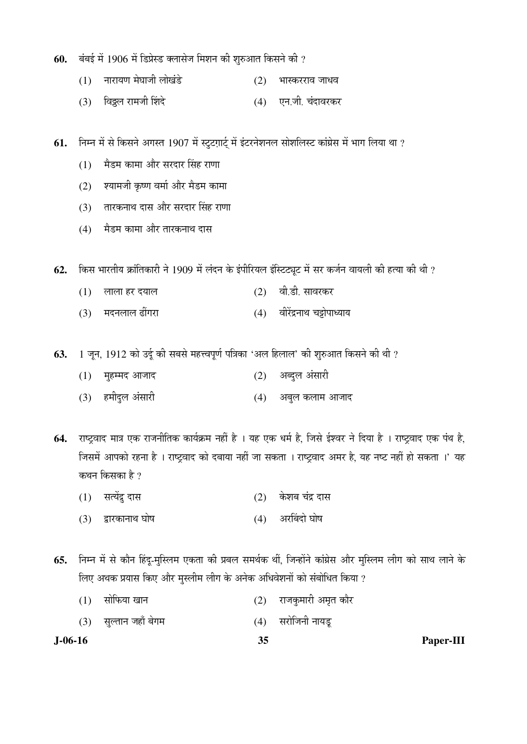- **60.** बंबई में 1906 में डिप्रेस्ड क्लासेज मिशन की शुरुआत किसने की ?
	- $(1)$  नारायण मेघाजी लोखंडे  $(2)$  भास्करराव जाधव
	- (3) ×¾Ö÷ü»Ö ¸üÖ´Ö•Öß Ø¿Ö¤êü (4) ‹®Ö.•Öß. "ÖÓ¤üÖ¾Ö¸üÛú¸ü
- **61.** निम्न में से किसने अगस्त 1907 में स्टुटग़ार्ट् में इंटरनेशनल सोशलिस्ट कांग्रेस में भाग लिया था ?
	- $(1)$  मैडम कामा और सरदार सिंह राणा
	- (2) श्यामजी कृष्ण वर्मा और मैडम कामा
	- (3) तारकनाथ दास और सरदार सिंह राणा
	- (4) मैडम कामा और तारकनाथ दास

 $62.$  किस भारतीय क्रांतिकारी ने 1909 में लंदन के इंपीरियल इंस्टिट्यूट में सर कर्जन वायली की हत्या की थी ?

- $(1)$  लाला हर दयाल $(2)$  वी.डी. सावरकर
- (3) मदनलाल ढींगरा (4) वीरेंद्रनाथ चट्टोपाध्याय

**63.** 1 जून, 1912 को उर्दू की सबसे महत्त्वपूर्ण पत्रिका 'अल हिलाल' की शुरुआत किसने की थी ?

- $(1)$  मुहम्मद आजाद  $(2)$  अब्दुल अंसारी
- (3) हमीदुल अंसारी (4) अबुल कलाम आजाद

64. राष्ट्रवाद मात्र एक राजनीतिक कार्यक्रम नहीं है । यह एक धर्म है, जिसे ईश्वर ने दिया है । राष्ट्रवाद एक पंथ है, जिसमें आपको रहना है । राष्ट्रवाद को दबाया नहीं जा सकता । राष्ट्रवाद अमर है, यह नष्ट नहीं हो सकता ।' यह कथन किसका है ?

- $(1)$  सत्येंद्र दास  $(2)$  केशब चंद्र दास
- $(3)$  द्वारकानाथ घोष (4) अरबिंदो घोष

**65.** निम्न में से कौन हिंदू-मुस्लिम एकता की प्रबल समर्थक थीं, जिन्होंने कांग्रेस और मुस्लिम लीग को साथ लाने के लिए अथक प्रयास किए और मुस्लीम लीग के अनेक अधिवेशनों को संबोधित किया ?

- $(1)$  सोफिया खान  $(2)$  राजकुमारी अमृत कोर
- (3) सुल्तान जहाँ बेगम (4) सरोजिनी नायडू

**J-06-16 35 Paper-III**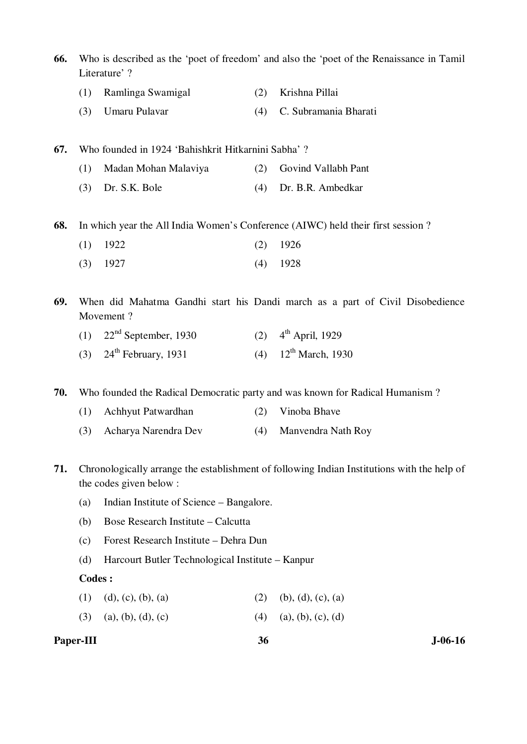| 66. | Who is described as the 'poet of freedom' and also the 'poet of the Renaissance in Tamil<br>Literature' ? |                                                    |     |                                                                                             |  |
|-----|-----------------------------------------------------------------------------------------------------------|----------------------------------------------------|-----|---------------------------------------------------------------------------------------------|--|
|     | (1)                                                                                                       | Ramlinga Swamigal                                  | (2) | Krishna Pillai                                                                              |  |
|     | (3)                                                                                                       | Umaru Pulavar                                      | (4) | C. Subramania Bharati                                                                       |  |
| 67. |                                                                                                           | Who founded in 1924 'Bahishkrit Hitkarnini Sabha'? |     |                                                                                             |  |
|     | (1)                                                                                                       | Madan Mohan Malaviya                               | (2) | Govind Vallabh Pant                                                                         |  |
|     | (3)                                                                                                       | Dr. S.K. Bole                                      | (4) | Dr. B.R. Ambedkar                                                                           |  |
| 68. |                                                                                                           |                                                    |     | In which year the All India Women's Conference (AIWC) held their first session ?            |  |
|     | (1)                                                                                                       | 1922                                               | (2) | 1926                                                                                        |  |
|     | (3)                                                                                                       | 1927                                               | (4) | 1928                                                                                        |  |
| 69. |                                                                                                           | Movement?                                          |     | When did Mahatma Gandhi start his Dandi march as a part of Civil Disobedience               |  |
|     | (1)                                                                                                       | $22nd$ September, 1930                             | (2) | $4th$ April, 1929                                                                           |  |
|     | (3)                                                                                                       | $24th$ February, 1931                              | (4) | $12th$ March, 1930                                                                          |  |
| 70. |                                                                                                           |                                                    |     | Who founded the Radical Democratic party and was known for Radical Humanism?                |  |
|     | (1)                                                                                                       | Achhyut Patwardhan                                 | (2) | Vinoba Bhave                                                                                |  |
|     | (3)                                                                                                       | Acharya Narendra Dev                               | (4) | Manvendra Nath Roy                                                                          |  |
| 71. |                                                                                                           | the codes given below:                             |     | Chronologically arrange the establishment of following Indian Institutions with the help of |  |
|     | (a)                                                                                                       | Indian Institute of Science – Bangalore.           |     |                                                                                             |  |
|     | (b)                                                                                                       | <b>Bose Research Institute – Calcutta</b>          |     |                                                                                             |  |
|     | (c)                                                                                                       | Forest Research Institute - Dehra Dun              |     |                                                                                             |  |
|     | (d)                                                                                                       | Harcourt Butler Technological Institute – Kanpur   |     |                                                                                             |  |
|     | <b>Codes:</b>                                                                                             |                                                    |     |                                                                                             |  |
|     | (1)                                                                                                       | (d), (c), (b), (a)                                 | (2) | (b), (d), (c), (a)                                                                          |  |
|     | (3)                                                                                                       | (a), (b), (d), (c)                                 | (4) | (a), (b), (c), (d)                                                                          |  |
|     | Paper-III                                                                                                 |                                                    | 36  | $J-06-16$                                                                                   |  |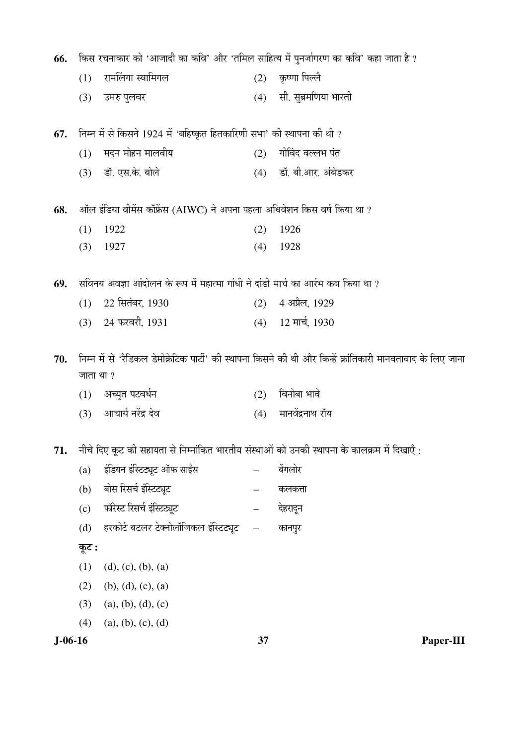| 66.       |           | किस रचनाकार को 'आजादी का कवि' और 'तमिल साहित्य में पुनर्जागरण का कवि' कहा जाता है ? |                   |                                                                                                                             |
|-----------|-----------|-------------------------------------------------------------------------------------|-------------------|-----------------------------------------------------------------------------------------------------------------------------|
|           | (1)       | रामलिंगा स्वामिगल                                                                   | (2)               | कृष्णा पिल्लै                                                                                                               |
|           | (3)       | उमरु पुलवर                                                                          | (4)               | सी. सुब्रमणिया भारती                                                                                                        |
| 67.       |           | निम्न में से किसने 1924 में 'बहिष्कृत हितकारिणी सभा' की स्थापना की थी ?             |                   |                                                                                                                             |
|           | (1)       | मदन मोहन मालवीय                                                                     | (2)               | गोविंद वल्लभ पंत                                                                                                            |
|           |           | (3) डॉ. एस.के. बोले                                                                 |                   | (4) डॉ. बी.आर. अंबेडकर                                                                                                      |
| 68.       |           | ऑल इंडिया वीमेंस काँफ्रेंस (AIWC) ने अपना पहला अधिवेशन किस वर्ष किया था ?           |                   |                                                                                                                             |
|           | (1)       | 1922                                                                                | (2)               | 1926                                                                                                                        |
|           | (3)       | 1927                                                                                | (4)               | 1928                                                                                                                        |
| 69.       |           | सविनय अवज्ञा आंदोलन के रूप में महात्मा गांधी ने दांडी मार्च का आरंभ कब किया था ?    |                   |                                                                                                                             |
|           | (1)       | 22 सितंबर, 1930                                                                     | (2)               | 4 अप्रैल, 1929                                                                                                              |
|           | (3)       | 24 फरवरी, 1931                                                                      |                   | $(4)$ 12 मार्च, 1930                                                                                                        |
| 70.       | जाता था ? | (1) अच्युत पटवर्धन                                                                  | (2)               | निम्न में से 'रैडिकल डेमोक्रेटिक पार्टी' की स्थापना किसने की थी और किन्हें क्रांतिकारी मानवतावाद के लिए जाना<br>विनोबा भावे |
|           |           | (3) आचार्य नरेंद्र देव                                                              | (4)               | मानवेंद्रनाथ रॉय                                                                                                            |
| 71.       |           |                                                                                     |                   | नीचे दिए कूट की सहायता से निम्नांकित भारतीय संस्थाओं को उनकी स्थापना के कालक्रम में दिखाएँ :                                |
|           | (a)       | इंडियन इंस्टिट्यूट ऑफ साईंस                                                         |                   | बेंगलोर                                                                                                                     |
|           | (b)       | बोस रिसर्च इंस्टिट्यूट                                                              |                   | कलकत्ता                                                                                                                     |
|           | (c)       | फॉरेस्ट रिसर्च इंस्टिट्यूट                                                          |                   | देहरादून                                                                                                                    |
|           | (d)       | हरकोर्ट बटलर टेक्नोलॉजिकल इंस्टिट्यूट                                               | $\qquad \qquad -$ | कानपुर                                                                                                                      |
|           | कूट :     |                                                                                     |                   |                                                                                                                             |
|           | (1)       | (d), (c), (b), (a)                                                                  |                   |                                                                                                                             |
|           | (2)       | (b), (d), (c), (a)                                                                  |                   |                                                                                                                             |
|           | (3)       | (a), (b), (d), (c)                                                                  |                   |                                                                                                                             |
|           | (4)       | (a), (b), (c), (d)                                                                  |                   |                                                                                                                             |
| $J-06-16$ |           |                                                                                     | 37                | Paper-III                                                                                                                   |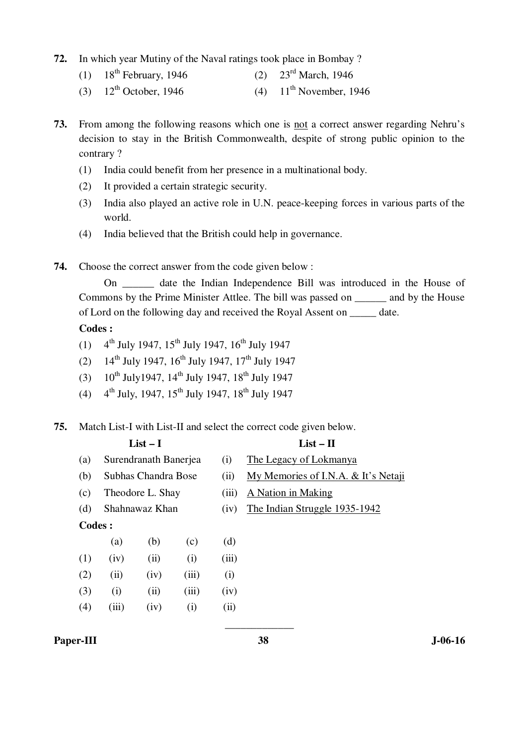- **72.** In which year Mutiny of the Naval ratings took place in Bombay ?
	- (1)  $18^{th}$  February, 1946 (2)  $23^{rd}$  March, 1946
	- (3)  $12^{th}$  October, 1946 (4)  $11^{th}$  November, 1946
- **73.** From among the following reasons which one is not a correct answer regarding Nehru's decision to stay in the British Commonwealth, despite of strong public opinion to the contrary ?
	- (1) India could benefit from her presence in a multinational body.
	- (2) It provided a certain strategic security.
	- (3) India also played an active role in U.N. peace-keeping forces in various parts of the world.
	- (4) India believed that the British could help in governance.
- **74.** Choose the correct answer from the code given below :

On date the Indian Independence Bill was introduced in the House of Commons by the Prime Minister Attlee. The bill was passed on \_\_\_\_\_\_ and by the House of Lord on the following day and received the Royal Assent on date.

 **Codes :** 

- (1)  $4^{th}$  July 1947,  $15^{th}$  July 1947,  $16^{th}$  July 1947
- (2)  $14^{th}$  July 1947,  $16^{th}$  July 1947,  $17^{th}$  July 1947
- (3)  $10^{th}$  July 1947, 14<sup>th</sup> July 1947, 18<sup>th</sup> July 1947
- (4)  $4^{th}$  July, 1947, 15<sup>th</sup> July 1947, 18<sup>th</sup> July 1947

#### **75.** Match List-I with List-II and select the correct code given below.

| List $-1$                 | List – $\Pi$           |
|---------------------------|------------------------|
| (a) Surendranath Banerjea | The Legacy of Lokmanya |

- (b) Subhas Chandra Bose (ii) My Memories of I.N.A. & It's Netaji
	-
- (c) Theodore L. Shay (iii) A Nation in Making
	-
- (d) Shahnawaz Khan (iv) The Indian Struggle 1935-1942

## **Codes :**

|     | (a)   | (b)  | (c)               | (d)   |
|-----|-------|------|-------------------|-------|
| (1) | (iv)  | (ii) | (i)               | (iii) |
| (2) | (ii)  | (iv) | (iii)             | (i)   |
| (3) | (i)   | (ii) | (iii)             | (iv)  |
| (4) | (iii) | (iv) | $\left( i\right)$ | (ii)  |

#### Paper-III 38 J-06-16

\_\_\_\_\_\_\_\_\_\_\_\_\_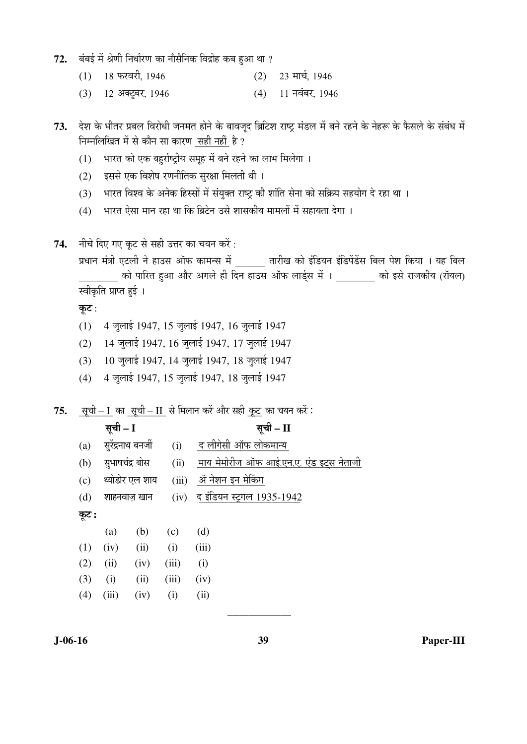- 72. बंबई में श्रेणी निर्धारण का नौसैनिक विद्रोह कब हुआ था ?
	- $(1)$  18 फरवरी, 1946<br> $(2)$  23 मार्च, 1946
	- $(3)$  12 अक्टूबर, 1946 (4) 11 नवंबर, 1946

73. देश के भीतर प्रबल विरोधी जनमत होने के बावजूद ब्रिटिश राष्ट्र मंडल में बने रहने के नेहरू के फैसले के संबंध में निम्नलिखित में से कौन सा कारण सही नहीं है ?

- $(1)$  भारत को एक बहर्राष्ट्रीय समूह में बने रहने का लाभ मिलेगा ।
- $(2)$  इससे एक विशेष रणनीतिक सुरक्षा मिलती थी ।
- (3) भारत विश्व के अनेक हिस्सों में संयुक्त राष्ट्र की शांति सेना को सक्रिय सहयोग दे रहा था ।
- (4) भारत ऐसा मान रहा था कि ब्रिटेन उसे शासकीय मामलों में सहायता देगा ।
- 74. नीचे दिए गए कूट से सही उत्तर का चयन करें:

प्रधान मंत्री एटली ने हाउस ऑफ कामन्स में तारीख को इंडियन इंडिपेंडेंस बिल पेश किया । यह बिल \_\_\_\_\_\_\_\_ ÛúÖê ¯ÖÖ׸üŸÖ Æãü†Ö †Öî¸ü †ÝÖ»Öê Æüß ×¤ü®Ö ÆüÖˆÃÖ †Öò±ú »ÖÖ›ÔËüÃÖ ´Öë … \_\_\_\_\_\_\_\_ ÛúÖê ‡ÃÖê ¸üÖ•ÖÛúßµÖ (¸üÖòµÖ»Ö) स्वीकृति प्राप्त हुई ।

कूट:

- (1) 4 जुलाई 1947, 15 जुलाई 1947, 16 जुलाई 1947
- (2) 14 जुलाई 1947, 16 जुलाई 1947, 17 जुलाई 1947
- (3) 10 जुलाई 1947, 14 जुलाई 1947, 18 जुलाई 1947
- (4) 4 जुलाई 1947, 15 जुलाई 1947, 18 जुलाई 1947

75. **सची – I का सची – II से मिलान करें और** सही कट का चयन करें :

# सूची – I द्वारा – सूची – II

| (a)   | सुरेंद्रनाथ बनर्जी |                | (i)   | द लीगेसी ऑफ लोकमान्य                           |
|-------|--------------------|----------------|-------|------------------------------------------------|
| (b)   |                    | सुभाषचंद्र बोस | (ii)  | <u>माय मेमोरीज ऑफ आई.एन.ए. एंड इट्स नेताजी</u> |
| (c)   |                    | थ्योडोर एल शाय | (iii) | ॲ नेशन इन मेकिंग                               |
| (d)   |                    | शाहनवाज़ खान   | (iv)  | द इंडियन स्ट्रगल 1 <u>935-1942</u>             |
| कूट : |                    |                |       |                                                |
|       | (a)                | (b)            | (c)   | (d)                                            |
| (1)   | (iv)               | (ii)           | (i)   | (iii)                                          |
| (2)   | (ii)               | (iv)           | (iii) | (i)                                            |
| (3)   | (i)                | (ii)           | (iii) | (iv)                                           |
| (4)   | (iii)              | (iv)           | (i)   | (ii)                                           |

\_\_\_\_\_\_\_\_\_\_\_\_

**J-06-16 39 Paper-III**